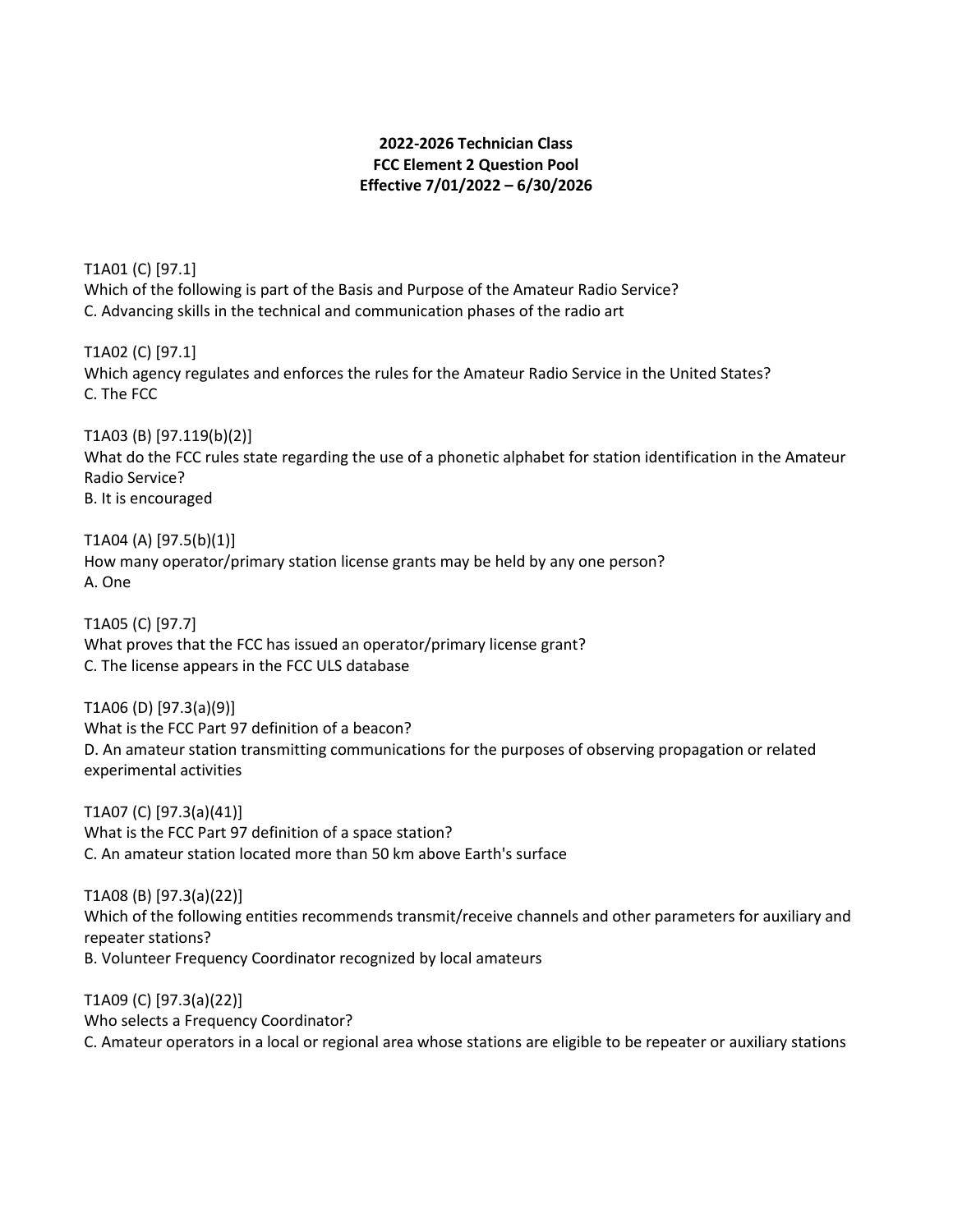## **2022-2026 Technician Class FCC Element 2 Question Pool Effective 7/01/2022 – 6/30/2026**

T1A01 (C) [97.1] Which of the following is part of the Basis and Purpose of the Amateur Radio Service? C. Advancing skills in the technical and communication phases of the radio art

T1A02 (C) [97.1] Which agency regulates and enforces the rules for the Amateur Radio Service in the United States? C. The FCC

T1A03 (B) [97.119(b)(2)] What do the FCC rules state regarding the use of a phonetic alphabet for station identification in the Amateur Radio Service? B. It is encouraged

T1A04 (A) [97.5(b)(1)] How many operator/primary station license grants may be held by any one person? A. One

T1A05 (C) [97.7] What proves that the FCC has issued an operator/primary license grant? C. The license appears in the FCC ULS database

T1A06 (D) [97.3(a)(9)] What is the FCC Part 97 definition of a beacon? D. An amateur station transmitting communications for the purposes of observing propagation or related experimental activities

T1A07 (C) [97.3(a)(41)] What is the FCC Part 97 definition of a space station? C. An amateur station located more than 50 km above Earth's surface

T1A08 (B) [97.3(a)(22)] Which of the following entities recommends transmit/receive channels and other parameters for auxiliary and repeater stations? B. Volunteer Frequency Coordinator recognized by local amateurs

T1A09 (C) [97.3(a)(22)] Who selects a Frequency Coordinator? C. Amateur operators in a local or regional area whose stations are eligible to be repeater or auxiliary stations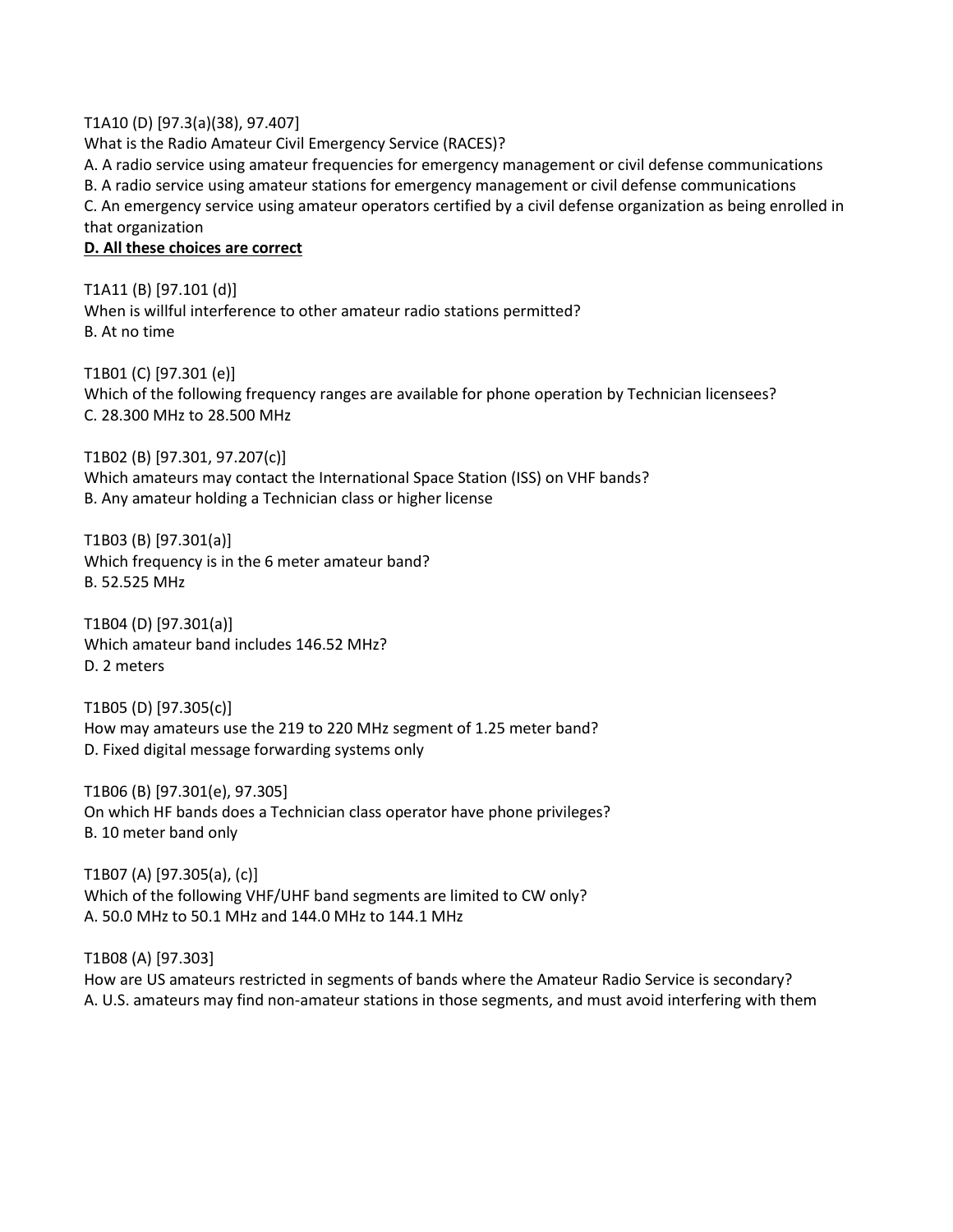#### T1A10 (D) [97.3(a)(38), 97.407]

What is the Radio Amateur Civil Emergency Service (RACES)?

A. A radio service using amateur frequencies for emergency management or civil defense communications B. A radio service using amateur stations for emergency management or civil defense communications C. An emergency service using amateur operators certified by a civil defense organization as being enrolled in that organization

#### **D. All these choices are correct**

T1A11 (B) [97.101 (d)] When is willful interference to other amateur radio stations permitted? B. At no time

T1B01 (C) [97.301 (e)] Which of the following frequency ranges are available for phone operation by Technician licensees? C. 28.300 MHz to 28.500 MHz

T1B02 (B) [97.301, 97.207(c)]

Which amateurs may contact the International Space Station (ISS) on VHF bands? B. Any amateur holding a Technician class or higher license

T1B03 (B) [97.301(a)] Which frequency is in the 6 meter amateur band? B. 52.525 MHz

T1B04 (D) [97.301(a)] Which amateur band includes 146.52 MHz? D. 2 meters

T1B05 (D) [97.305(c)] How may amateurs use the 219 to 220 MHz segment of 1.25 meter band? D. Fixed digital message forwarding systems only

T1B06 (B) [97.301(e), 97.305] On which HF bands does a Technician class operator have phone privileges? B. 10 meter band only

T1B07 (A) [97.305(a), (c)] Which of the following VHF/UHF band segments are limited to CW only? A. 50.0 MHz to 50.1 MHz and 144.0 MHz to 144.1 MHz

T1B08 (A) [97.303] How are US amateurs restricted in segments of bands where the Amateur Radio Service is secondary? A. U.S. amateurs may find non-amateur stations in those segments, and must avoid interfering with them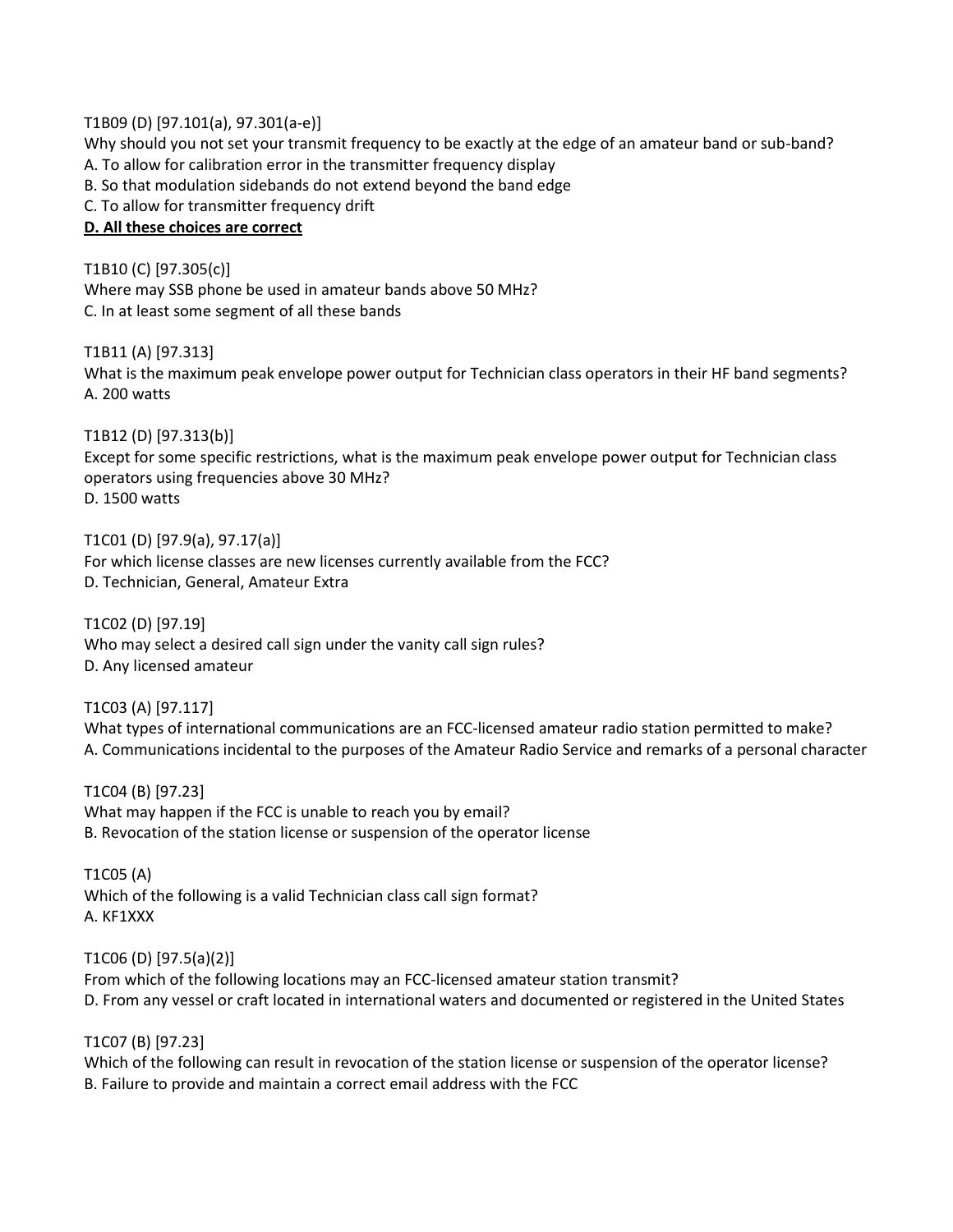T1B09 (D) [97.101(a), 97.301(a-e)] Why should you not set your transmit frequency to be exactly at the edge of an amateur band or sub-band? A. To allow for calibration error in the transmitter frequency display B. So that modulation sidebands do not extend beyond the band edge C. To allow for transmitter frequency drift

#### **D. All these choices are correct**

T1B10 (C) [97.305(c)] Where may SSB phone be used in amateur bands above 50 MHz? C. In at least some segment of all these bands

T1B11 (A) [97.313] What is the maximum peak envelope power output for Technician class operators in their HF band segments? A. 200 watts

T1B12 (D) [97.313(b)] Except for some specific restrictions, what is the maximum peak envelope power output for Technician class operators using frequencies above 30 MHz? D. 1500 watts

T1C01 (D) [97.9(a), 97.17(a)] For which license classes are new licenses currently available from the FCC? D. Technician, General, Amateur Extra

T1C02 (D) [97.19] Who may select a desired call sign under the vanity call sign rules? D. Any licensed amateur

T1C03 (A) [97.117] What types of international communications are an FCC-licensed amateur radio station permitted to make? A. Communications incidental to the purposes of the Amateur Radio Service and remarks of a personal character

T1C04 (B) [97.23] What may happen if the FCC is unable to reach you by email? B. Revocation of the station license or suspension of the operator license

T1C05 (A) Which of the following is a valid Technician class call sign format? A. KF1XXX

T1C06 (D) [97.5(a)(2)]

From which of the following locations may an FCC-licensed amateur station transmit? D. From any vessel or craft located in international waters and documented or registered in the United States

T1C07 (B) [97.23]

Which of the following can result in revocation of the station license or suspension of the operator license? B. Failure to provide and maintain a correct email address with the FCC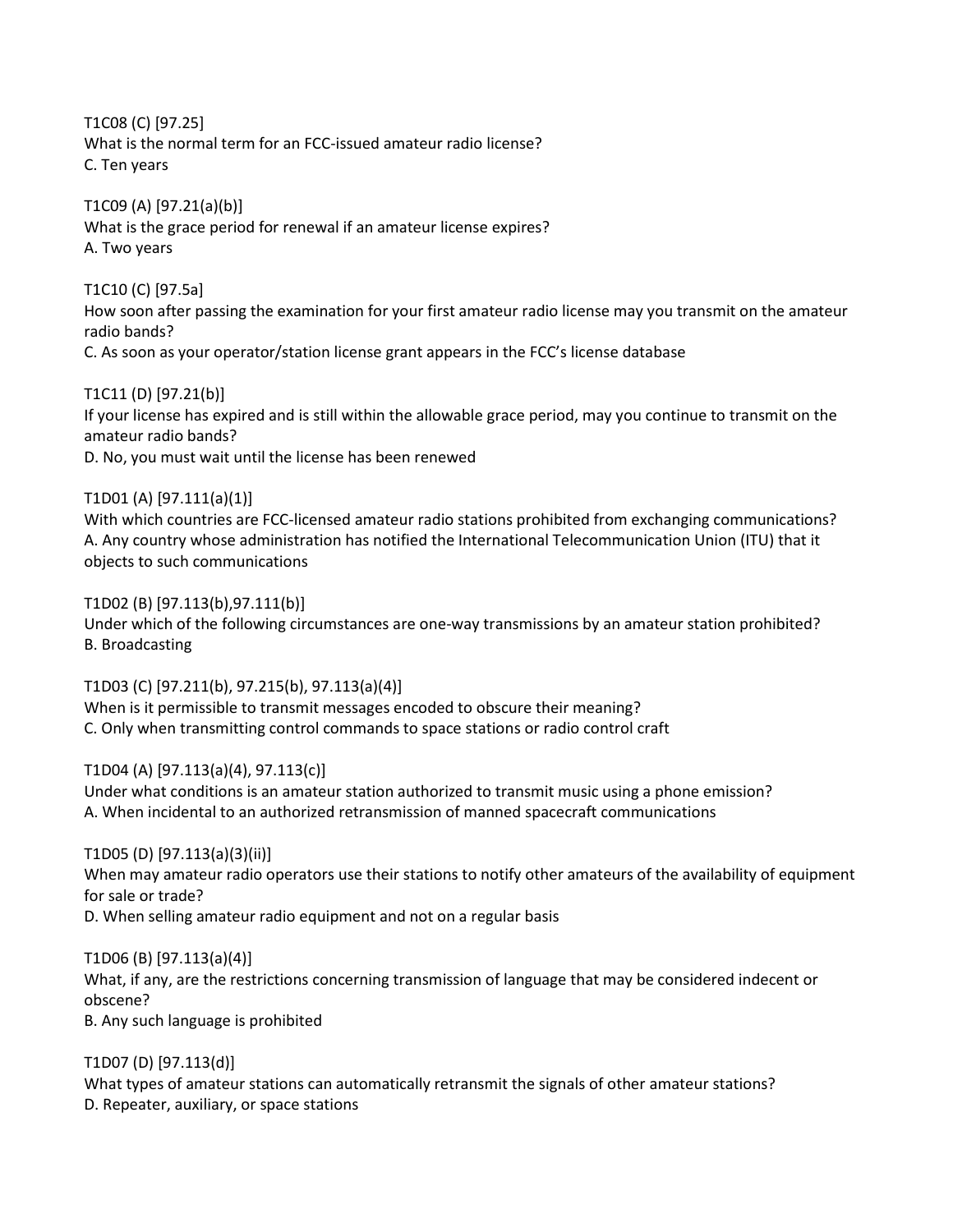T1C08 (C) [97.25] What is the normal term for an FCC-issued amateur radio license? C. Ten years

T1C09 (A) [97.21(a)(b)] What is the grace period for renewal if an amateur license expires? A. Two years

T1C10 (C) [97.5a] How soon after passing the examination for your first amateur radio license may you transmit on the amateur radio bands?

C. As soon as your operator/station license grant appears in the FCC's license database

T1C11 (D) [97.21(b)]

If your license has expired and is still within the allowable grace period, may you continue to transmit on the amateur radio bands?

D. No, you must wait until the license has been renewed

#### T1D01 (A) [97.111(a)(1)]

With which countries are FCC-licensed amateur radio stations prohibited from exchanging communications? A. Any country whose administration has notified the International Telecommunication Union (ITU) that it objects to such communications

#### T1D02 (B) [97.113(b),97.111(b)]

Under which of the following circumstances are one-way transmissions by an amateur station prohibited? B. Broadcasting

#### T1D03 (C) [97.211(b), 97.215(b), 97.113(a)(4)]

When is it permissible to transmit messages encoded to obscure their meaning? C. Only when transmitting control commands to space stations or radio control craft

#### T1D04 (A) [97.113(a)(4), 97.113(c)]

Under what conditions is an amateur station authorized to transmit music using a phone emission? A. When incidental to an authorized retransmission of manned spacecraft communications

#### T1D05 (D) [97.113(a)(3)(ii)]

When may amateur radio operators use their stations to notify other amateurs of the availability of equipment for sale or trade?

D. When selling amateur radio equipment and not on a regular basis

T1D06 (B) [97.113(a)(4)]

What, if any, are the restrictions concerning transmission of language that may be considered indecent or obscene?

B. Any such language is prohibited

T1D07 (D) [97.113(d)] What types of amateur stations can automatically retransmit the signals of other amateur stations? D. Repeater, auxiliary, or space stations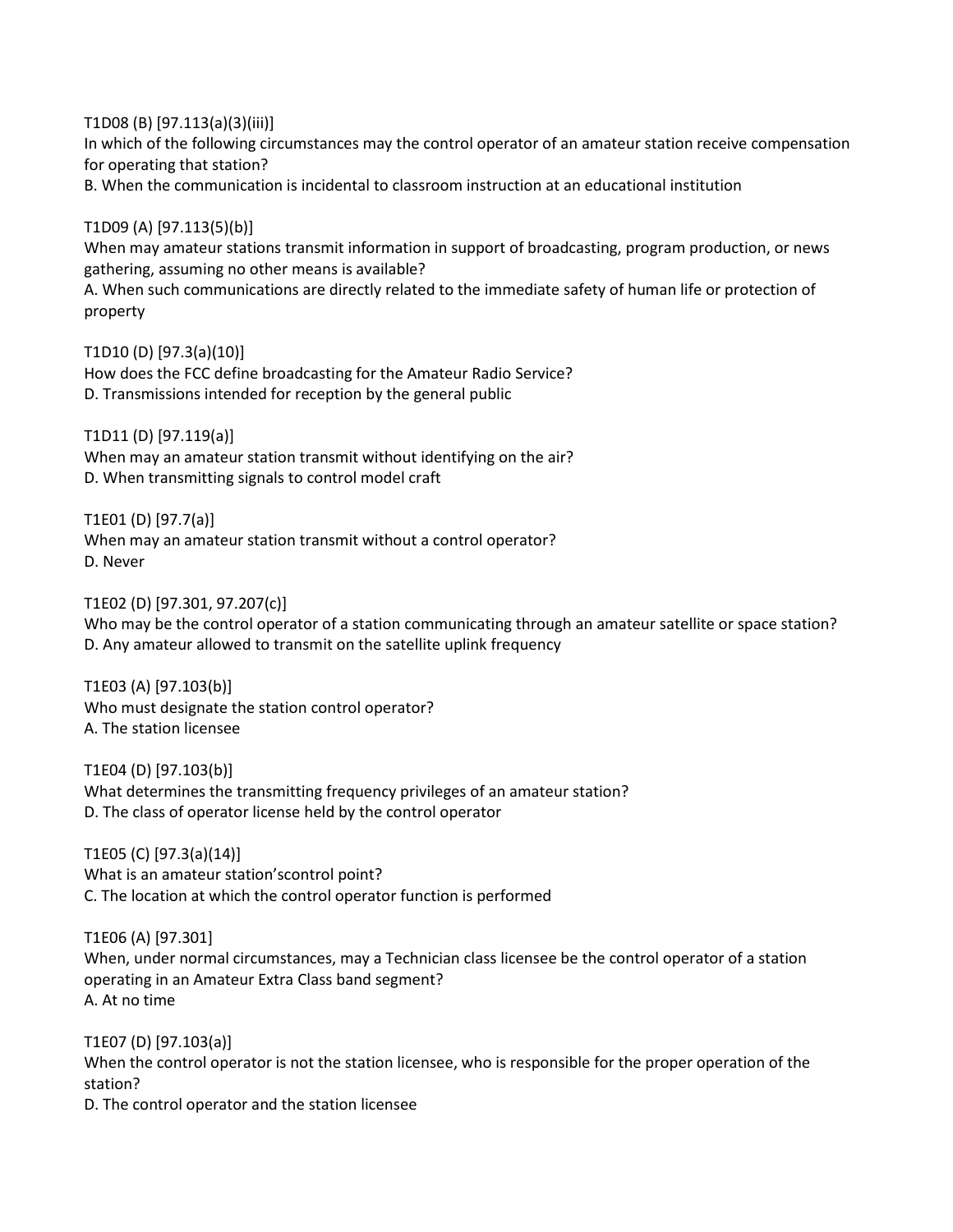T1D08 (B) [97.113(a)(3)(iii)]

In which of the following circumstances may the control operator of an amateur station receive compensation for operating that station?

B. When the communication is incidental to classroom instruction at an educational institution

T1D09 (A) [97.113(5)(b)]

When may amateur stations transmit information in support of broadcasting, program production, or news gathering, assuming no other means is available?

A. When such communications are directly related to the immediate safety of human life or protection of property

T1D10 (D) [97.3(a)(10)] How does the FCC define broadcasting for the Amateur Radio Service? D. Transmissions intended for reception by the general public

T1D11 (D) [97.119(a)]

When may an amateur station transmit without identifying on the air? D. When transmitting signals to control model craft

T1E01 (D) [97.7(a)]

When may an amateur station transmit without a control operator? D. Never

T1E02 (D) [97.301, 97.207(c)] Who may be the control operator of a station communicating through an amateur satellite or space station? D. Any amateur allowed to transmit on the satellite uplink frequency

T1E03 (A) [97.103(b)] Who must designate the station control operator? A. The station licensee

T1E04 (D) [97.103(b)] What determines the transmitting frequency privileges of an amateur station? D. The class of operator license held by the control operator

T1E05 (C) [97.3(a)(14)] What is an amateur station'scontrol point? C. The location at which the control operator function is performed

T1E06 (A) [97.301] When, under normal circumstances, may a Technician class licensee be the control operator of a station operating in an Amateur Extra Class band segment? A. At no time

T1E07 (D) [97.103(a)] When the control operator is not the station licensee, who is responsible for the proper operation of the station? D. The control operator and the station licensee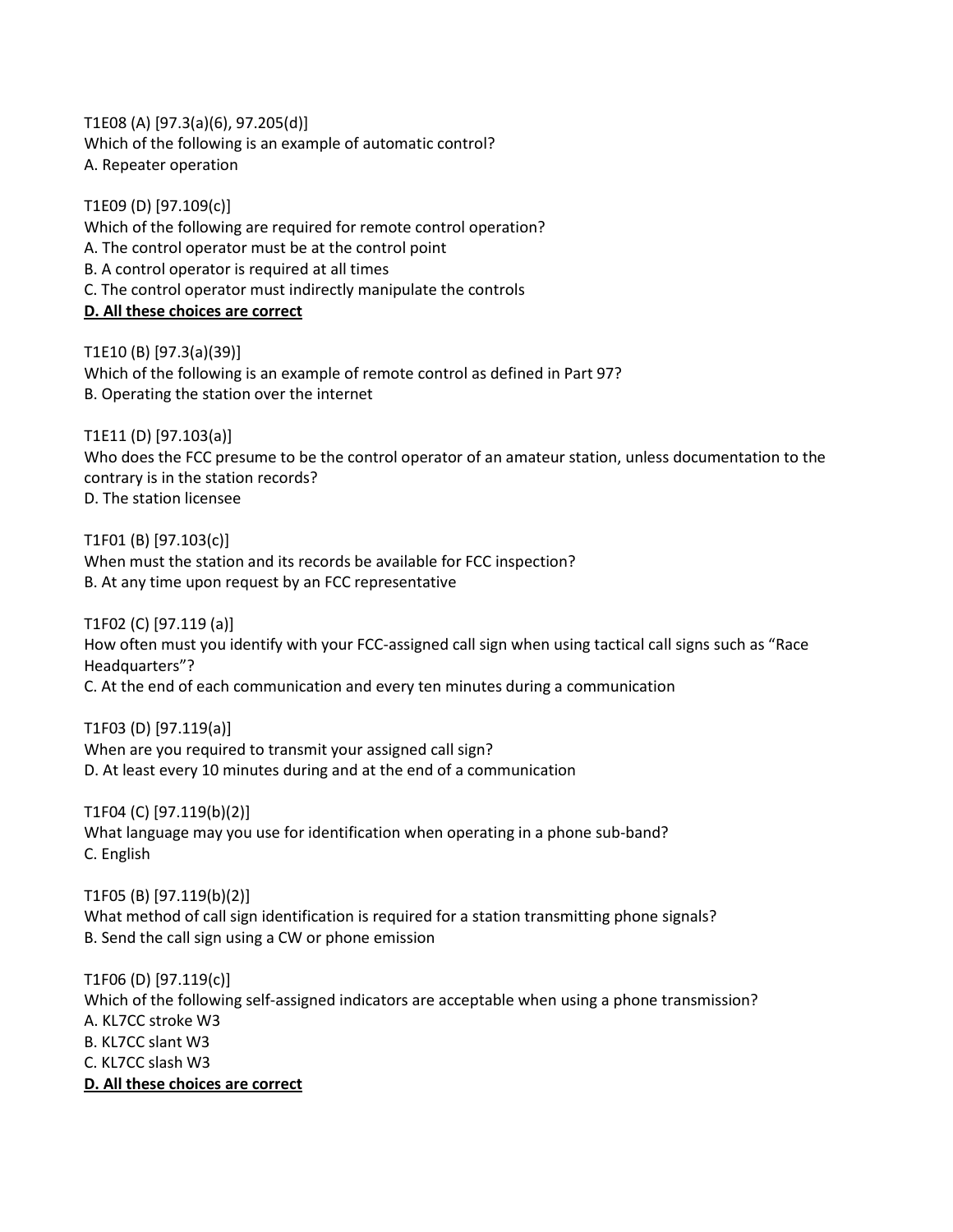T1E08 (A) [97.3(a)(6), 97.205(d)] Which of the following is an example of automatic control? A. Repeater operation

T1E09 (D) [97.109(c)] Which of the following are required for remote control operation? A. The control operator must be at the control point B. A control operator is required at all times C. The control operator must indirectly manipulate the controls **D. All these choices are correct**

T1E10 (B) [97.3(a)(39)] Which of the following is an example of remote control as defined in Part 97? B. Operating the station over the internet

T1E11 (D) [97.103(a)] Who does the FCC presume to be the control operator of an amateur station, unless documentation to the contrary is in the station records? D. The station licensee

T1F01 (B) [97.103(c)] When must the station and its records be available for FCC inspection? B. At any time upon request by an FCC representative

T1F02 (C) [97.119 (a)] How often must you identify with your FCC-assigned call sign when using tactical call signs such as "Race Headquarters"? C. At the end of each communication and every ten minutes during a communication

T1F03 (D) [97.119(a)] When are you required to transmit your assigned call sign? D. At least every 10 minutes during and at the end of a communication

T1F04 (C) [97.119(b)(2)] What language may you use for identification when operating in a phone sub-band? C. English

T1F05 (B) [97.119(b)(2)] What method of call sign identification is required for a station transmitting phone signals? B. Send the call sign using a CW or phone emission

T1F06 (D) [97.119(c)] Which of the following self-assigned indicators are acceptable when using a phone transmission? A. KL7CC stroke W3 B. KL7CC slant W3 C. KL7CC slash W3 **D. All these choices are correct**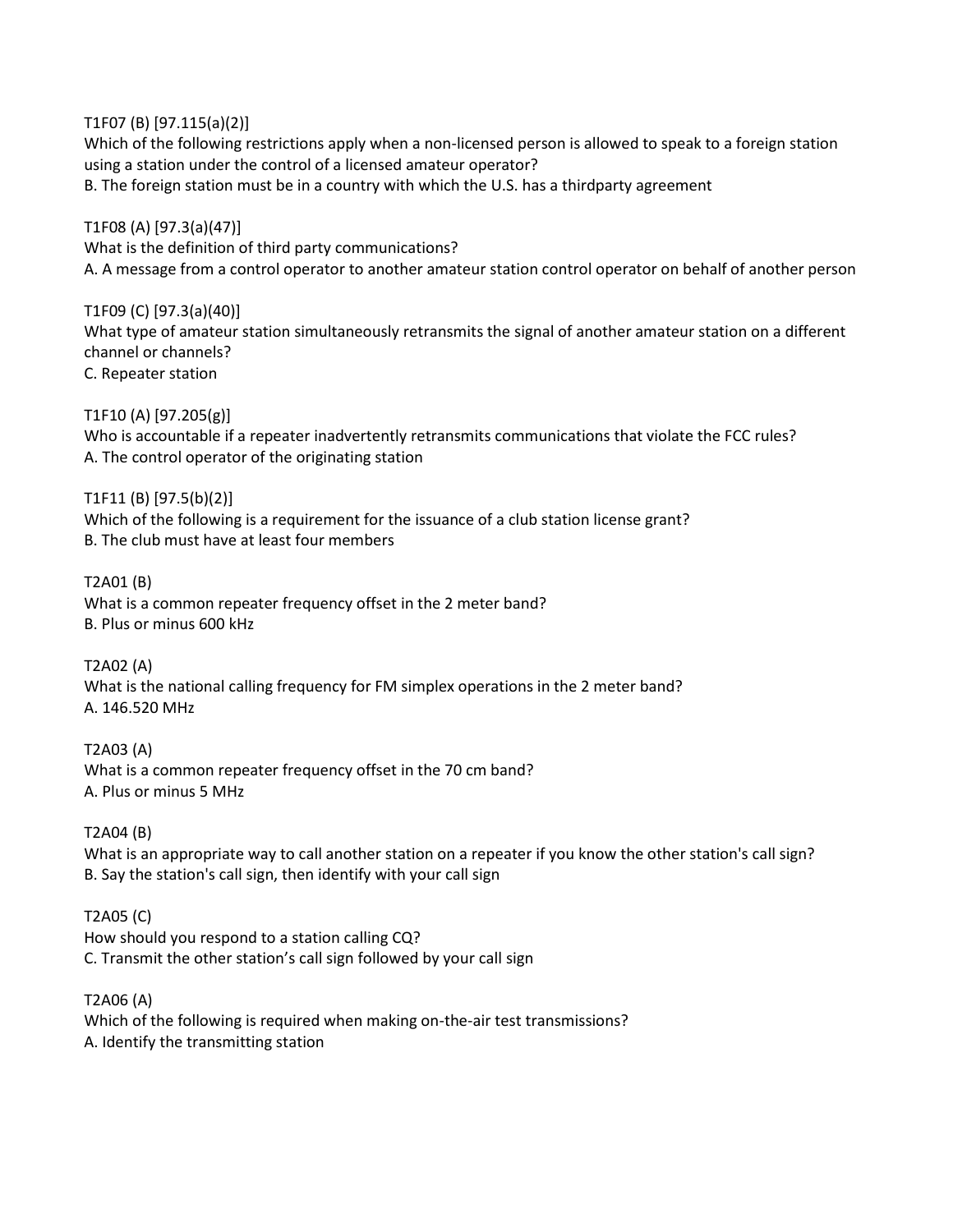T1F07 (B) [97.115(a)(2)]

Which of the following restrictions apply when a non-licensed person is allowed to speak to a foreign station using a station under the control of a licensed amateur operator? B. The foreign station must be in a country with which the U.S. has a thirdparty agreement

T1F08 (A) [97.3(a)(47)] What is the definition of third party communications? A. A message from a control operator to another amateur station control operator on behalf of another person

T1F09 (C) [97.3(a)(40)] What type of amateur station simultaneously retransmits the signal of another amateur station on a different channel or channels? C. Repeater station

T1F10 (A) [97.205(g)] Who is accountable if a repeater inadvertently retransmits communications that violate the FCC rules? A. The control operator of the originating station

T1F11 (B) [97.5(b)(2)] Which of the following is a requirement for the issuance of a club station license grant? B. The club must have at least four members

T2A01 (B) What is a common repeater frequency offset in the 2 meter band? B. Plus or minus 600 kHz

T2A02 (A) What is the national calling frequency for FM simplex operations in the 2 meter band? A. 146.520 MHz

T2A03 (A) What is a common repeater frequency offset in the 70 cm band? A. Plus or minus 5 MHz

T2A04 (B) What is an appropriate way to call another station on a repeater if you know the other station's call sign? B. Say the station's call sign, then identify with your call sign

T2A05 (C) How should you respond to a station calling CQ? C. Transmit the other station's call sign followed by your call sign

T2A06 (A) Which of the following is required when making on-the-air test transmissions? A. Identify the transmitting station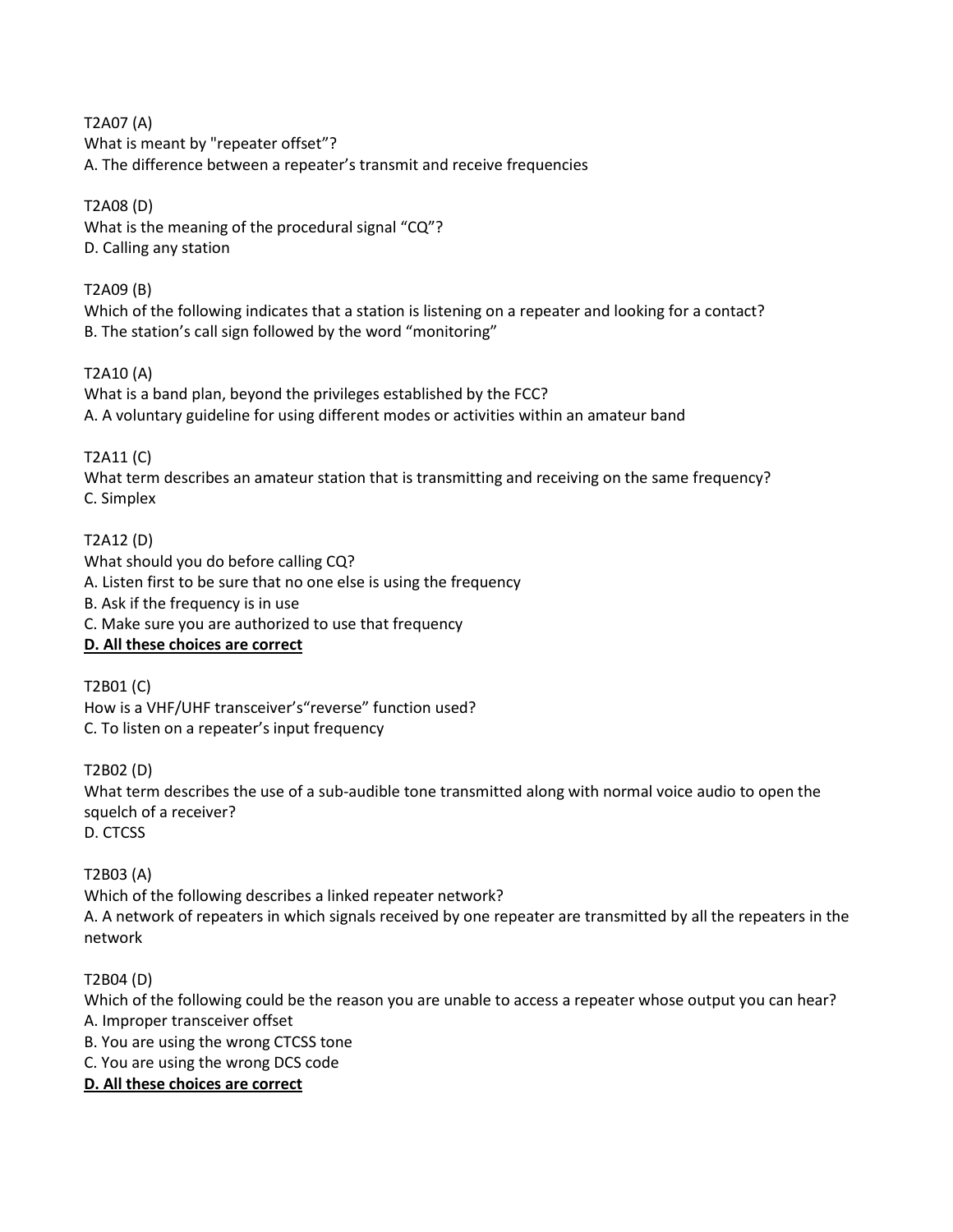T2A07 (A) What is meant by "repeater offset"? A. The difference between a repeater's transmit and receive frequencies

# T2A08 (D)

What is the meaning of the procedural signal "CQ"? D. Calling any station

# T2A09 (B)

Which of the following indicates that a station is listening on a repeater and looking for a contact? B. The station's call sign followed by the word "monitoring"

# T2A10 (A)

What is a band plan, beyond the privileges established by the FCC? A. A voluntary guideline for using different modes or activities within an amateur band

# T2A11 (C)

What term describes an amateur station that is transmitting and receiving on the same frequency? C. Simplex

# T2A12 (D)

What should you do before calling CQ? A. Listen first to be sure that no one else is using the frequency B. Ask if the frequency is in use C. Make sure you are authorized to use that frequency **D. All these choices are correct**

T2B01 (C) How is a VHF/UHF transceiver's"reverse" function used? C. To listen on a repeater's input frequency

T2B02 (D)

What term describes the use of a sub-audible tone transmitted along with normal voice audio to open the squelch of a receiver? D. CTCSS

# T2B03 (A)

Which of the following describes a linked repeater network? A. A network of repeaters in which signals received by one repeater are transmitted by all the repeaters in the network

T2B04 (D)

Which of the following could be the reason you are unable to access a repeater whose output you can hear? A. Improper transceiver offset

B. You are using the wrong CTCSS tone

C. You are using the wrong DCS code

**D. All these choices are correct**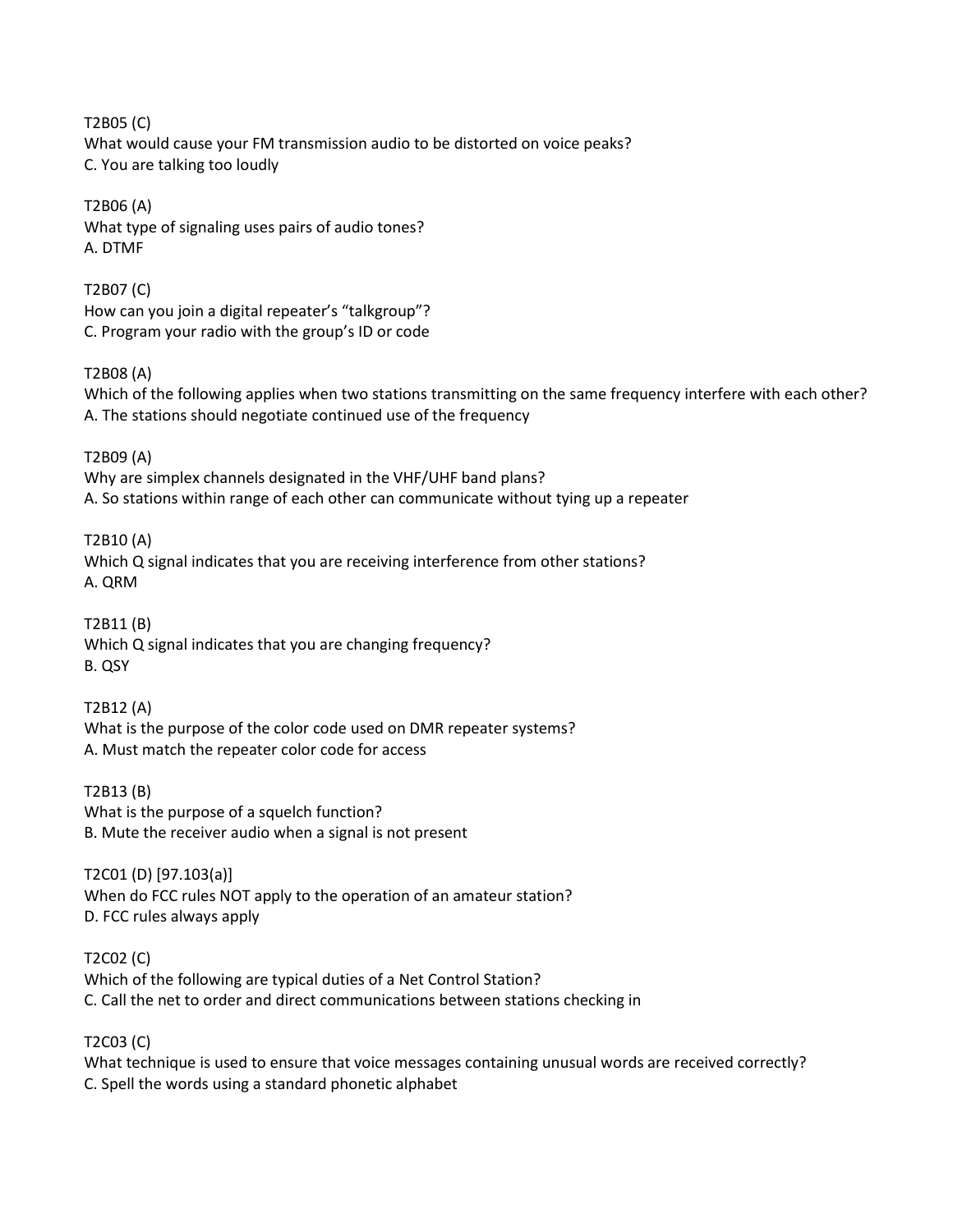T2B05 (C) What would cause your FM transmission audio to be distorted on voice peaks? C. You are talking too loudly

T2B06 (A) What type of signaling uses pairs of audio tones? A. DTMF

T2B07 (C) How can you join a digital repeater's "talkgroup"? C. Program your radio with the group's ID or code

T2B08 (A) Which of the following applies when two stations transmitting on the same frequency interfere with each other? A. The stations should negotiate continued use of the frequency

T2B09 (A) Why are simplex channels designated in the VHF/UHF band plans? A. So stations within range of each other can communicate without tying up a repeater

T2B10 (A) Which Q signal indicates that you are receiving interference from other stations? A. QRM

T2B11 (B) Which Q signal indicates that you are changing frequency? B. QSY

T2B12 (A) What is the purpose of the color code used on DMR repeater systems? A. Must match the repeater color code for access

T2B13 (B) What is the purpose of a squelch function? B. Mute the receiver audio when a signal is not present

T2C01 (D) [97.103(a)] When do FCC rules NOT apply to the operation of an amateur station? D. FCC rules always apply

T2C02 (C) Which of the following are typical duties of a Net Control Station? C. Call the net to order and direct communications between stations checking in

T2C03 (C) What technique is used to ensure that voice messages containing unusual words are received correctly? C. Spell the words using a standard phonetic alphabet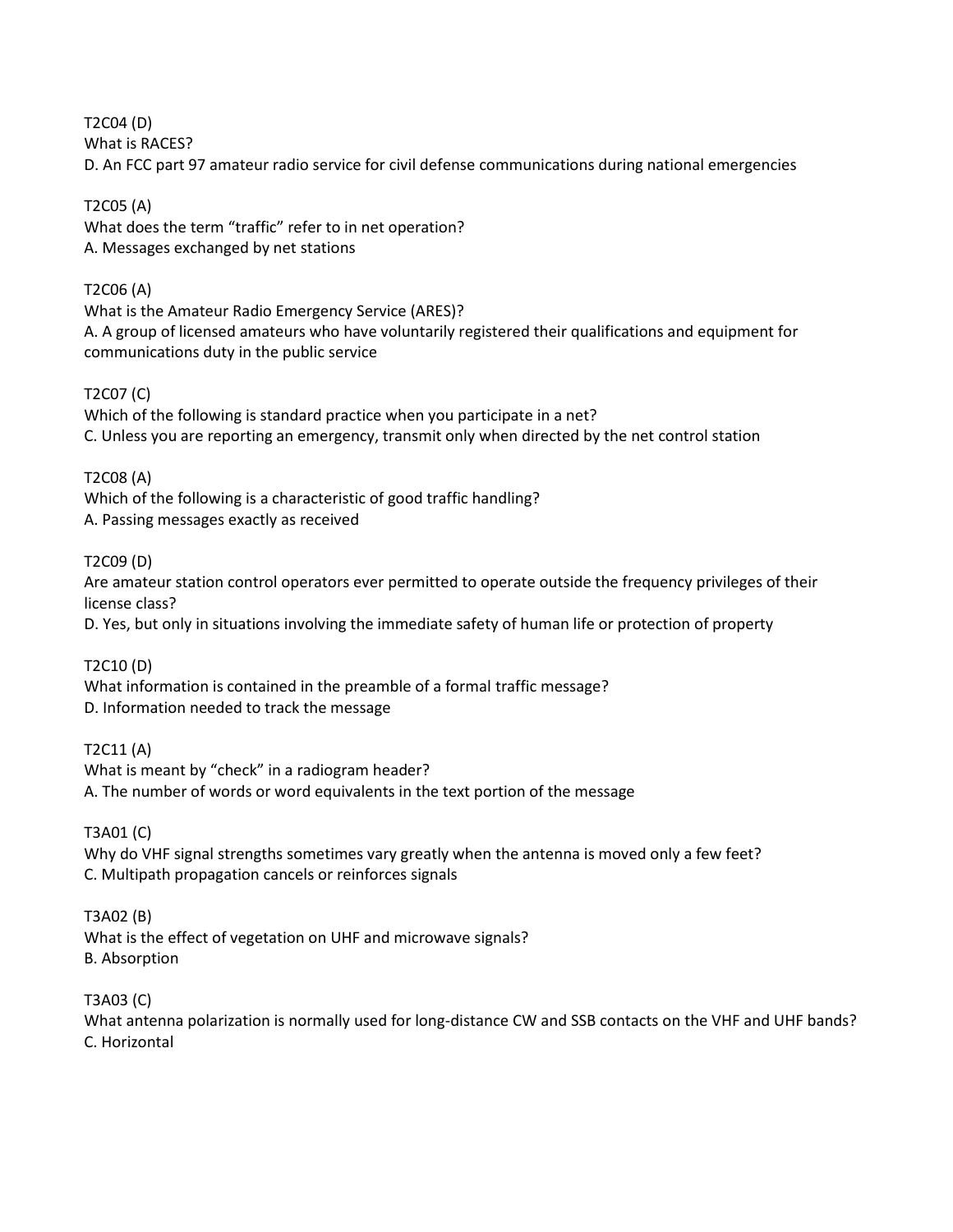T2C04 (D)

What is RACES?

D. An FCC part 97 amateur radio service for civil defense communications during national emergencies

#### T2C05 (A)

What does the term "traffic" refer to in net operation? A. Messages exchanged by net stations

#### T2C06 (A)

What is the Amateur Radio Emergency Service (ARES)? A. A group of licensed amateurs who have voluntarily registered their qualifications and equipment for communications duty in the public service

#### T2C07 (C)

Which of the following is standard practice when you participate in a net? C. Unless you are reporting an emergency, transmit only when directed by the net control station

## T2C08 (A)

Which of the following is a characteristic of good traffic handling? A. Passing messages exactly as received

## T2C09 (D)

Are amateur station control operators ever permitted to operate outside the frequency privileges of their license class?

D. Yes, but only in situations involving the immediate safety of human life or protection of property

## T2C10 (D)

What information is contained in the preamble of a formal traffic message? D. Information needed to track the message

## T2C11 (A)

What is meant by "check" in a radiogram header? A. The number of words or word equivalents in the text portion of the message

## T3A01 (C)

Why do VHF signal strengths sometimes vary greatly when the antenna is moved only a few feet? C. Multipath propagation cancels or reinforces signals

## T3A02 (B)

What is the effect of vegetation on UHF and microwave signals? B. Absorption

## T3A03 (C)

What antenna polarization is normally used for long-distance CW and SSB contacts on the VHF and UHF bands? C. Horizontal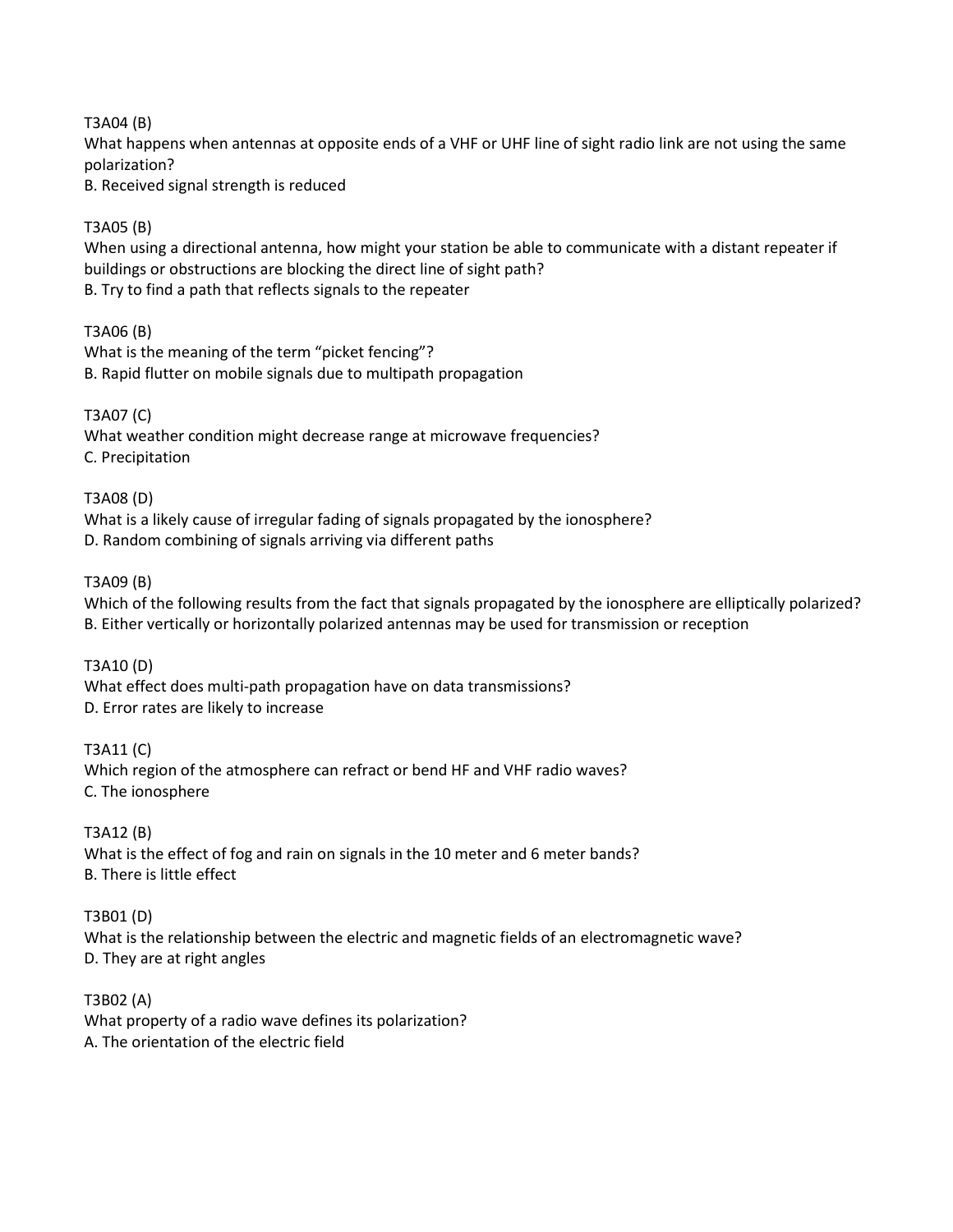T3A04 (B)

What happens when antennas at opposite ends of a VHF or UHF line of sight radio link are not using the same polarization?

B. Received signal strength is reduced

## T3A05 (B)

When using a directional antenna, how might your station be able to communicate with a distant repeater if buildings or obstructions are blocking the direct line of sight path? B. Try to find a path that reflects signals to the repeater

T3A06 (B)

What is the meaning of the term "picket fencing"? B. Rapid flutter on mobile signals due to multipath propagation

T3A07 (C) What weather condition might decrease range at microwave frequencies? C. Precipitation

T3A08 (D) What is a likely cause of irregular fading of signals propagated by the ionosphere? D. Random combining of signals arriving via different paths

## T3A09 (B)

Which of the following results from the fact that signals propagated by the ionosphere are elliptically polarized? B. Either vertically or horizontally polarized antennas may be used for transmission or reception

T3A10 (D)

What effect does multi-path propagation have on data transmissions? D. Error rates are likely to increase

T3A11 (C) Which region of the atmosphere can refract or bend HF and VHF radio waves? C. The ionosphere

T3A12 (B) What is the effect of fog and rain on signals in the 10 meter and 6 meter bands? B. There is little effect

T3B01 (D) What is the relationship between the electric and magnetic fields of an electromagnetic wave? D. They are at right angles

T3B02 (A) What property of a radio wave defines its polarization? A. The orientation of the electric field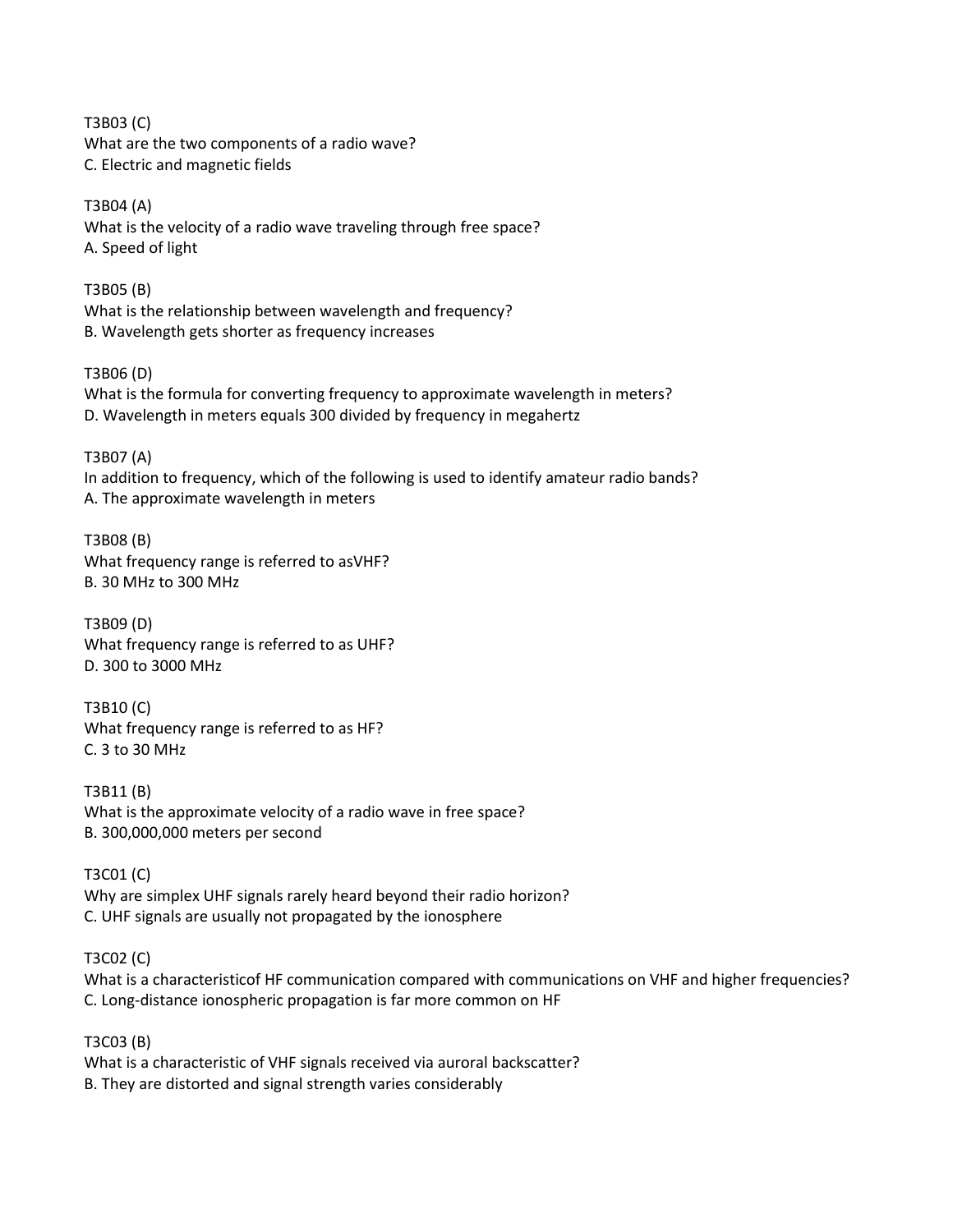T3B03 (C) What are the two components of a radio wave? C. Electric and magnetic fields

T3B04 (A) What is the velocity of a radio wave traveling through free space? A. Speed of light

T3B05 (B) What is the relationship between wavelength and frequency? B. Wavelength gets shorter as frequency increases

T3B06 (D) What is the formula for converting frequency to approximate wavelength in meters? D. Wavelength in meters equals 300 divided by frequency in megahertz

T3B07 (A) In addition to frequency, which of the following is used to identify amateur radio bands? A. The approximate wavelength in meters

T3B08 (B) What frequency range is referred to asVHF? B. 30 MHz to 300 MHz

T3B09 (D) What frequency range is referred to as UHF? D. 300 to 3000 MHz

T3B10 (C) What frequency range is referred to as HF? C. 3 to 30 MHz

T3B11 (B) What is the approximate velocity of a radio wave in free space? B. 300,000,000 meters per second

T3C01 (C) Why are simplex UHF signals rarely heard beyond their radio horizon? C. UHF signals are usually not propagated by the ionosphere

T3C02 (C) What is a characteristicof HF communication compared with communications on VHF and higher frequencies? C. Long-distance ionospheric propagation is far more common on HF

T3C03 (B) What is a characteristic of VHF signals received via auroral backscatter? B. They are distorted and signal strength varies considerably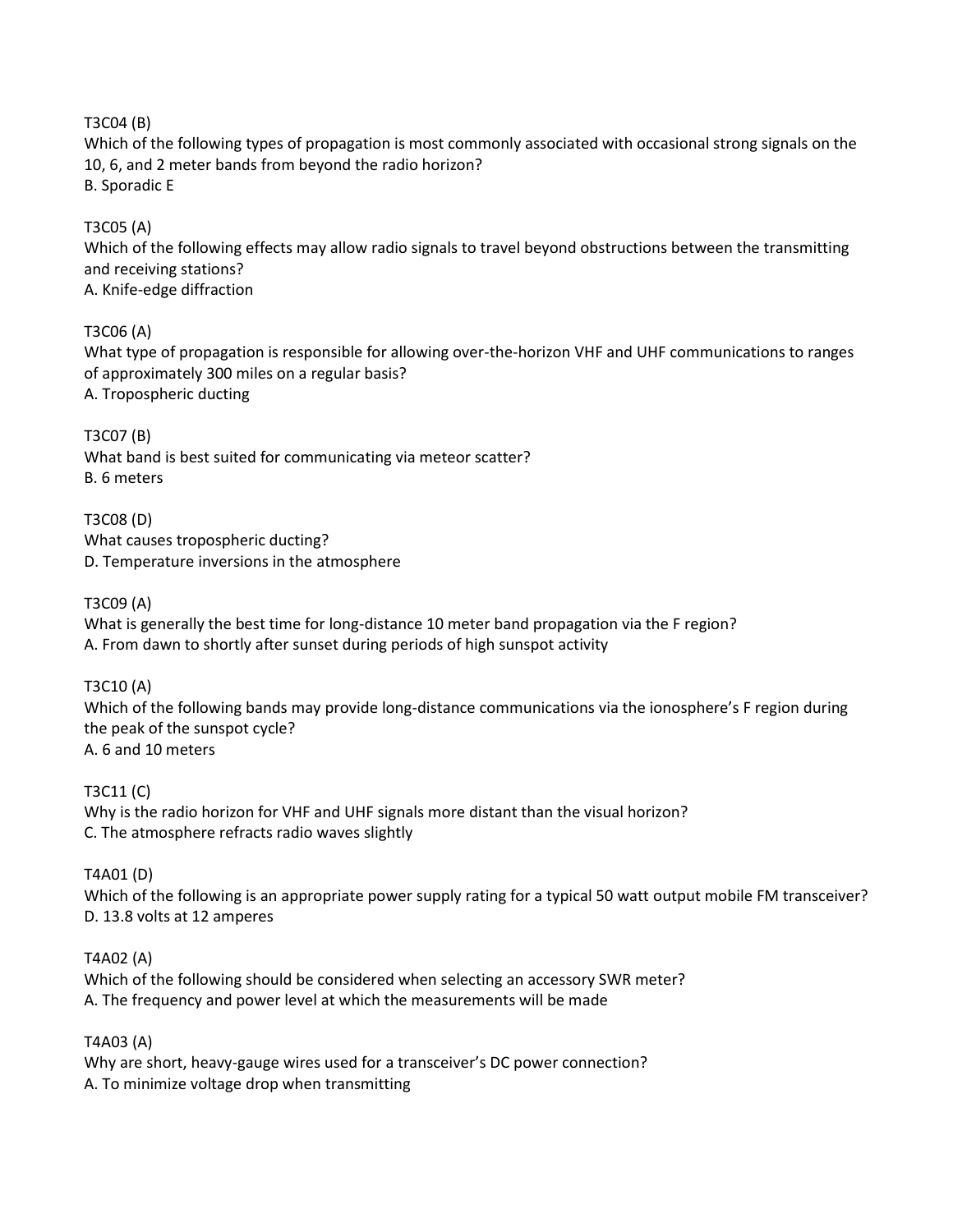T3C04 (B)

Which of the following types of propagation is most commonly associated with occasional strong signals on the 10, 6, and 2 meter bands from beyond the radio horizon? B. Sporadic E

T3C05 (A) Which of the following effects may allow radio signals to travel beyond obstructions between the transmitting and receiving stations? A. Knife-edge diffraction

T3C06 (A) What type of propagation is responsible for allowing over-the-horizon VHF and UHF communications to ranges of approximately 300 miles on a regular basis? A. Tropospheric ducting

T3C07 (B) What band is best suited for communicating via meteor scatter? B. 6 meters

T3C08 (D) What causes tropospheric ducting? D. Temperature inversions in the atmosphere

T3C09 (A) What is generally the best time for long-distance 10 meter band propagation via the F region? A. From dawn to shortly after sunset during periods of high sunspot activity

T3C10 (A) Which of the following bands may provide long-distance communications via the ionosphere's F region during the peak of the sunspot cycle? A. 6 and 10 meters

T3C11 (C) Why is the radio horizon for VHF and UHF signals more distant than the visual horizon? C. The atmosphere refracts radio waves slightly

T4A01 (D)

Which of the following is an appropriate power supply rating for a typical 50 watt output mobile FM transceiver? D. 13.8 volts at 12 amperes

T4A02 (A)

Which of the following should be considered when selecting an accessory SWR meter? A. The frequency and power level at which the measurements will be made

T4A03 (A)

Why are short, heavy-gauge wires used for a transceiver's DC power connection? A. To minimize voltage drop when transmitting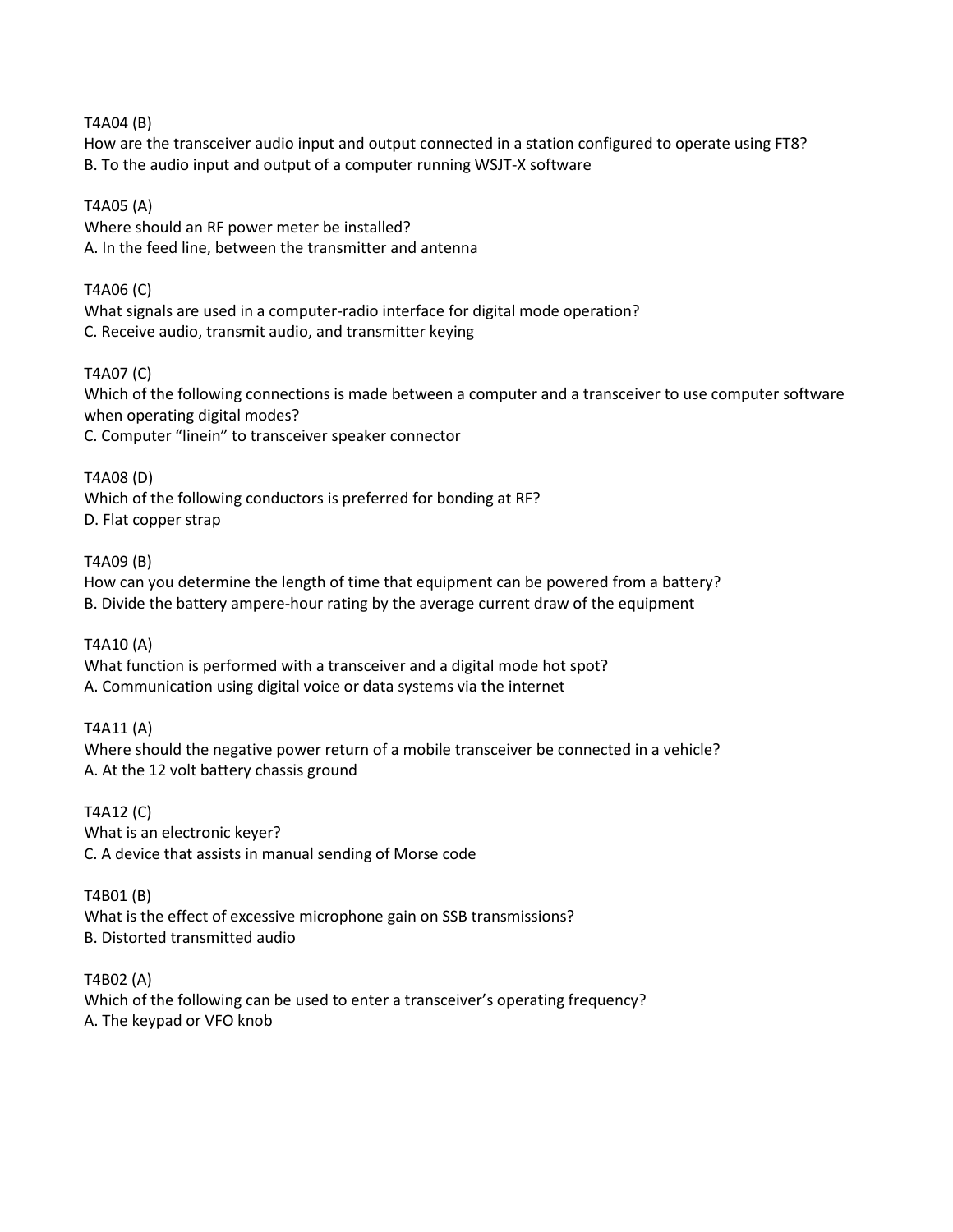T4A04 (B)

How are the transceiver audio input and output connected in a station configured to operate using FT8? B. To the audio input and output of a computer running WSJT-X software

T4A05 (A)

Where should an RF power meter be installed? A. In the feed line, between the transmitter and antenna

T4A06 (C) What signals are used in a computer-radio interface for digital mode operation? C. Receive audio, transmit audio, and transmitter keying

T4A07 (C) Which of the following connections is made between a computer and a transceiver to use computer software when operating digital modes? C. Computer "linein" to transceiver speaker connector

T4A08 (D) Which of the following conductors is preferred for bonding at RF? D. Flat copper strap

T4A09 (B) How can you determine the length of time that equipment can be powered from a battery? B. Divide the battery ampere-hour rating by the average current draw of the equipment

T4A10 (A) What function is performed with a transceiver and a digital mode hot spot? A. Communication using digital voice or data systems via the internet

T4A11 (A) Where should the negative power return of a mobile transceiver be connected in a vehicle? A. At the 12 volt battery chassis ground

T4A12 (C) What is an electronic keyer? C. A device that assists in manual sending of Morse code

T4B01 (B) What is the effect of excessive microphone gain on SSB transmissions? B. Distorted transmitted audio

T4B02 (A) Which of the following can be used to enter a transceiver's operating frequency? A. The keypad or VFO knob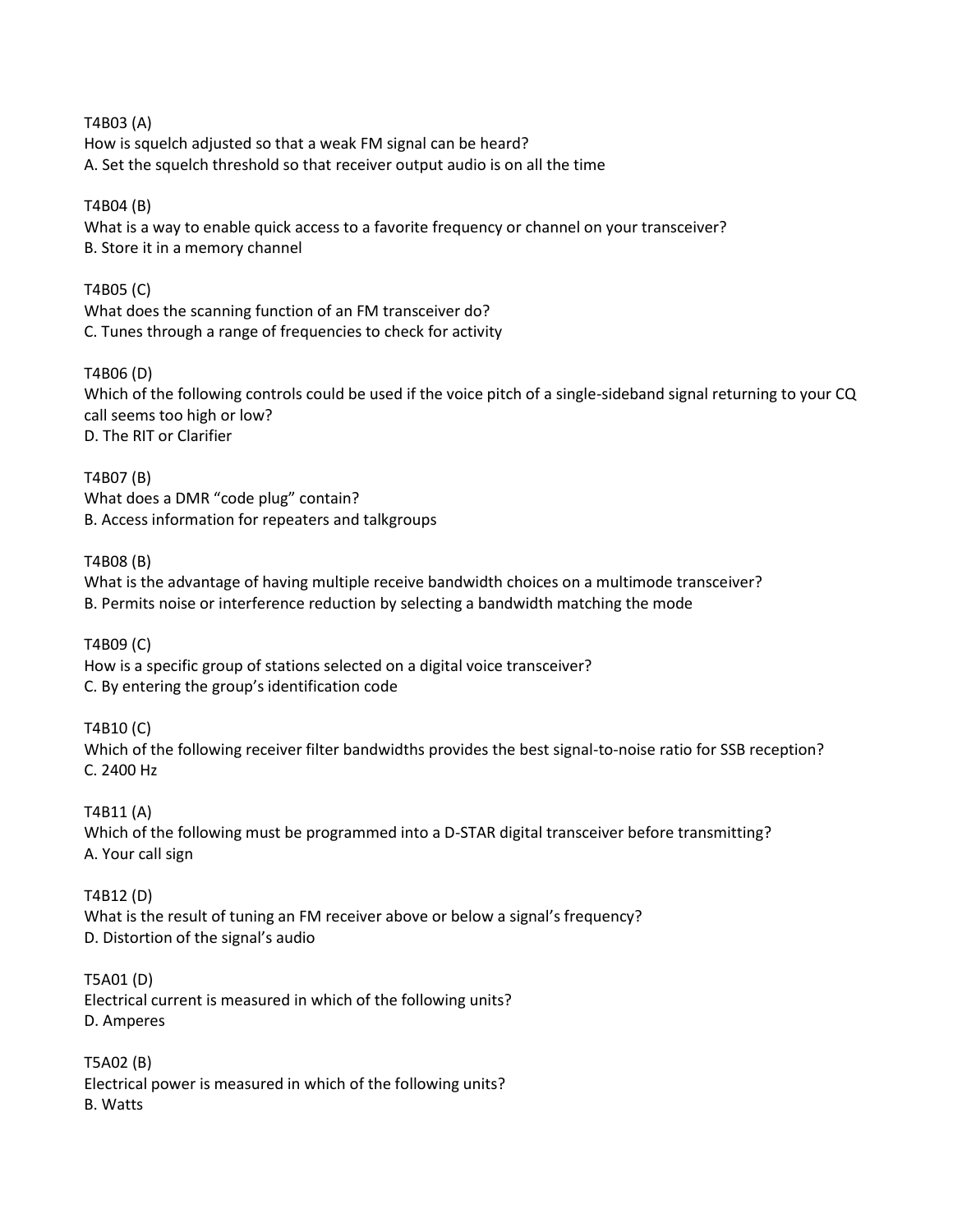T4B03 (A) How is squelch adjusted so that a weak FM signal can be heard? A. Set the squelch threshold so that receiver output audio is on all the time

T4B04 (B) What is a way to enable quick access to a favorite frequency or channel on your transceiver? B. Store it in a memory channel

T4B05 (C) What does the scanning function of an FM transceiver do? C. Tunes through a range of frequencies to check for activity

T4B06 (D) Which of the following controls could be used if the voice pitch of a single-sideband signal returning to your CQ call seems too high or low? D. The RIT or Clarifier

T4B07 (B) What does a DMR "code plug" contain? B. Access information for repeaters and talkgroups

T4B08 (B) What is the advantage of having multiple receive bandwidth choices on a multimode transceiver? B. Permits noise or interference reduction by selecting a bandwidth matching the mode

T4B09 (C) How is a specific group of stations selected on a digital voice transceiver? C. By entering the group's identification code

T4B10 (C) Which of the following receiver filter bandwidths provides the best signal-to-noise ratio for SSB reception? C. 2400 Hz

T4B11 (A) Which of the following must be programmed into a D-STAR digital transceiver before transmitting? A. Your call sign

T4B12 (D) What is the result of tuning an FM receiver above or below a signal's frequency? D. Distortion of the signal's audio

T5A01 (D) Electrical current is measured in which of the following units? D. Amperes

T5A02 (B) Electrical power is measured in which of the following units? B. Watts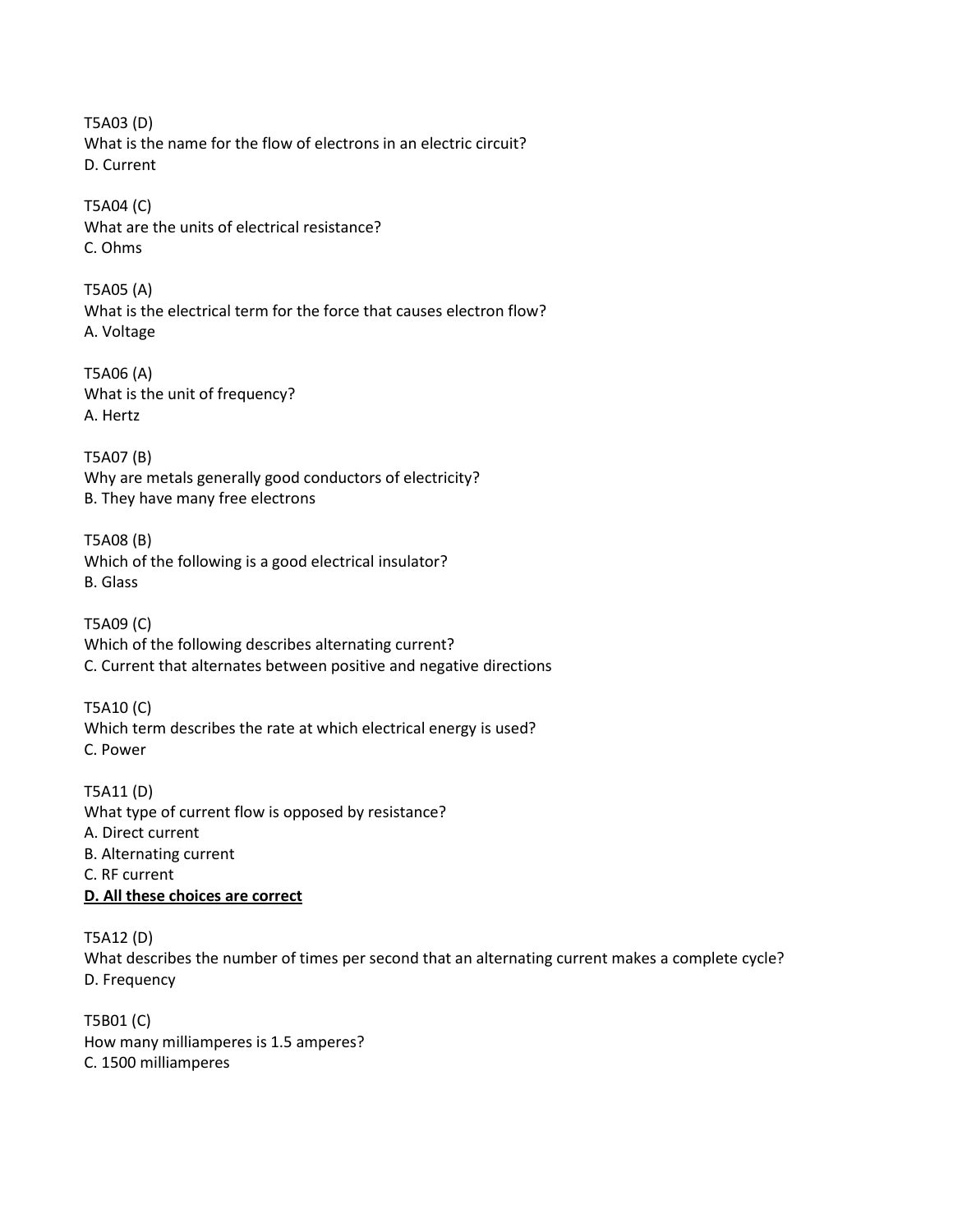T5A03 (D) What is the name for the flow of electrons in an electric circuit? D. Current

T5A04 (C) What are the units of electrical resistance? C. Ohms

T5A05 (A) What is the electrical term for the force that causes electron flow? A. Voltage

T5A06 (A) What is the unit of frequency? A. Hertz

T5A07 (B) Why are metals generally good conductors of electricity? B. They have many free electrons

T5A08 (B) Which of the following is a good electrical insulator? B. Glass

T5A09 (C) Which of the following describes alternating current? C. Current that alternates between positive and negative directions

T5A10 (C) Which term describes the rate at which electrical energy is used? C. Power

T5A11 (D) What type of current flow is opposed by resistance? A. Direct current B. Alternating current C. RF current **D. All these choices are correct**

T5A12 (D) What describes the number of times per second that an alternating current makes a complete cycle? D. Frequency

T5B01 (C) How many milliamperes is 1.5 amperes? C. 1500 milliamperes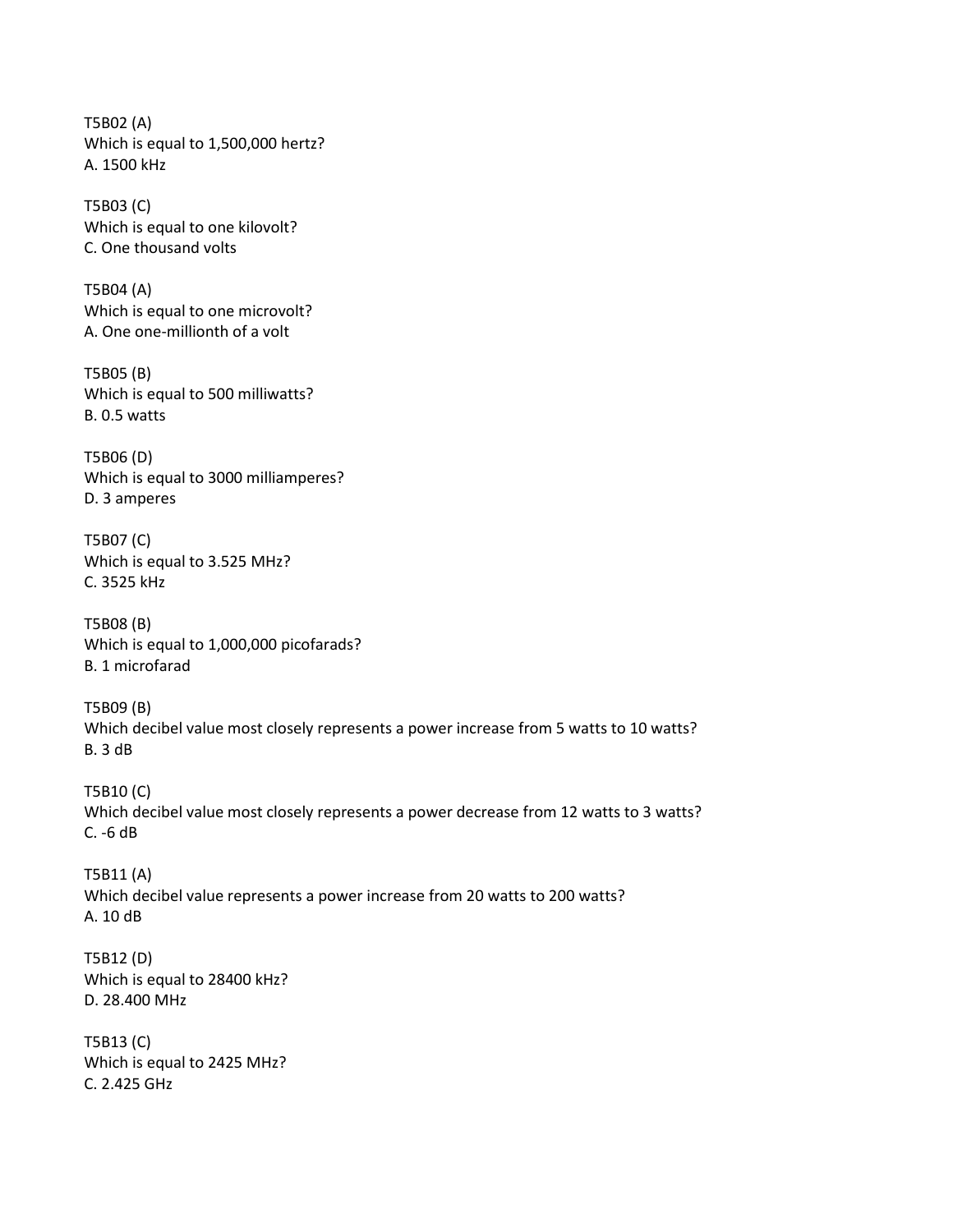T5B02 (A) Which is equal to 1,500,000 hertz? A. 1500 kHz

T5B03 (C) Which is equal to one kilovolt? C. One thousand volts

T5B04 (A) Which is equal to one microvolt? A. One one-millionth of a volt

T5B05 (B) Which is equal to 500 milliwatts? B. 0.5 watts

T5B06 (D) Which is equal to 3000 milliamperes? D. 3 amperes

T5B07 (C) Which is equal to 3.525 MHz? C. 3525 kHz

T5B08 (B) Which is equal to 1,000,000 picofarads? B. 1 microfarad

T5B09 (B) Which decibel value most closely represents a power increase from 5 watts to 10 watts? B. 3 dB

T5B10 (C) Which decibel value most closely represents a power decrease from 12 watts to 3 watts? C. -6 dB

T5B11 (A) Which decibel value represents a power increase from 20 watts to 200 watts? A. 10 dB

T5B12 (D) Which is equal to 28400 kHz? D. 28.400 MHz

T5B13 (C) Which is equal to 2425 MHz? C. 2.425 GHz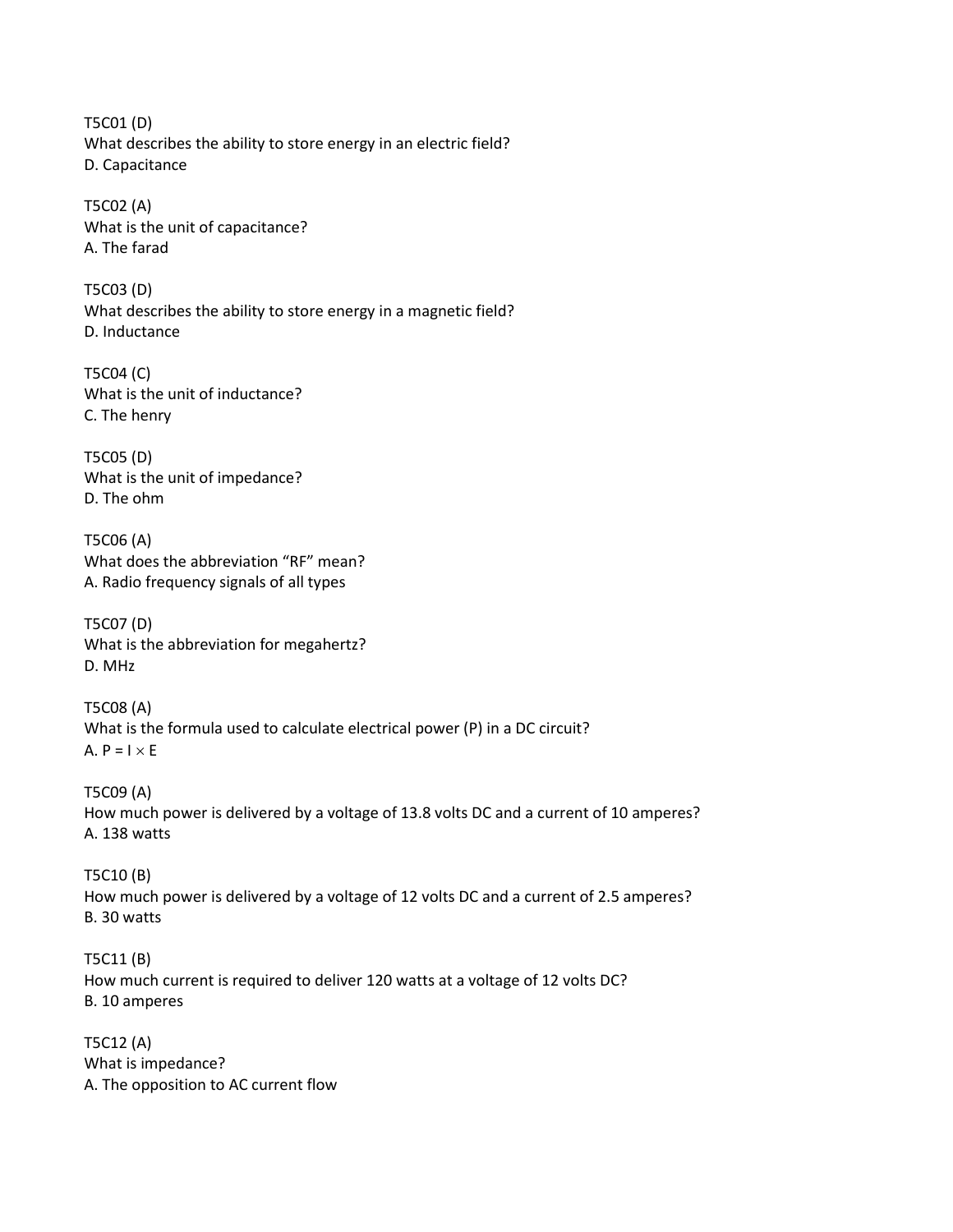T5C01 (D) What describes the ability to store energy in an electric field? D. Capacitance

T5C02 (A) What is the unit of capacitance? A. The farad

T5C03 (D) What describes the ability to store energy in a magnetic field? D. Inductance

T5C04 (C) What is the unit of inductance? C. The henry

T5C05 (D) What is the unit of impedance? D. The ohm

T5C06 (A) What does the abbreviation "RF" mean? A. Radio frequency signals of all types

T5C07 (D) What is the abbreviation for megahertz? D. MHz

T5C08 (A) What is the formula used to calculate electrical power (P) in a DC circuit? A.  $P = I \times E$ 

T5C09 (A) How much power is delivered by a voltage of 13.8 volts DC and a current of 10 amperes? A. 138 watts

T5C10 (B) How much power is delivered by a voltage of 12 volts DC and a current of 2.5 amperes? B. 30 watts

T5C11 (B) How much current is required to deliver 120 watts at a voltage of 12 volts DC? B. 10 amperes

T5C12 (A) What is impedance? A. The opposition to AC current flow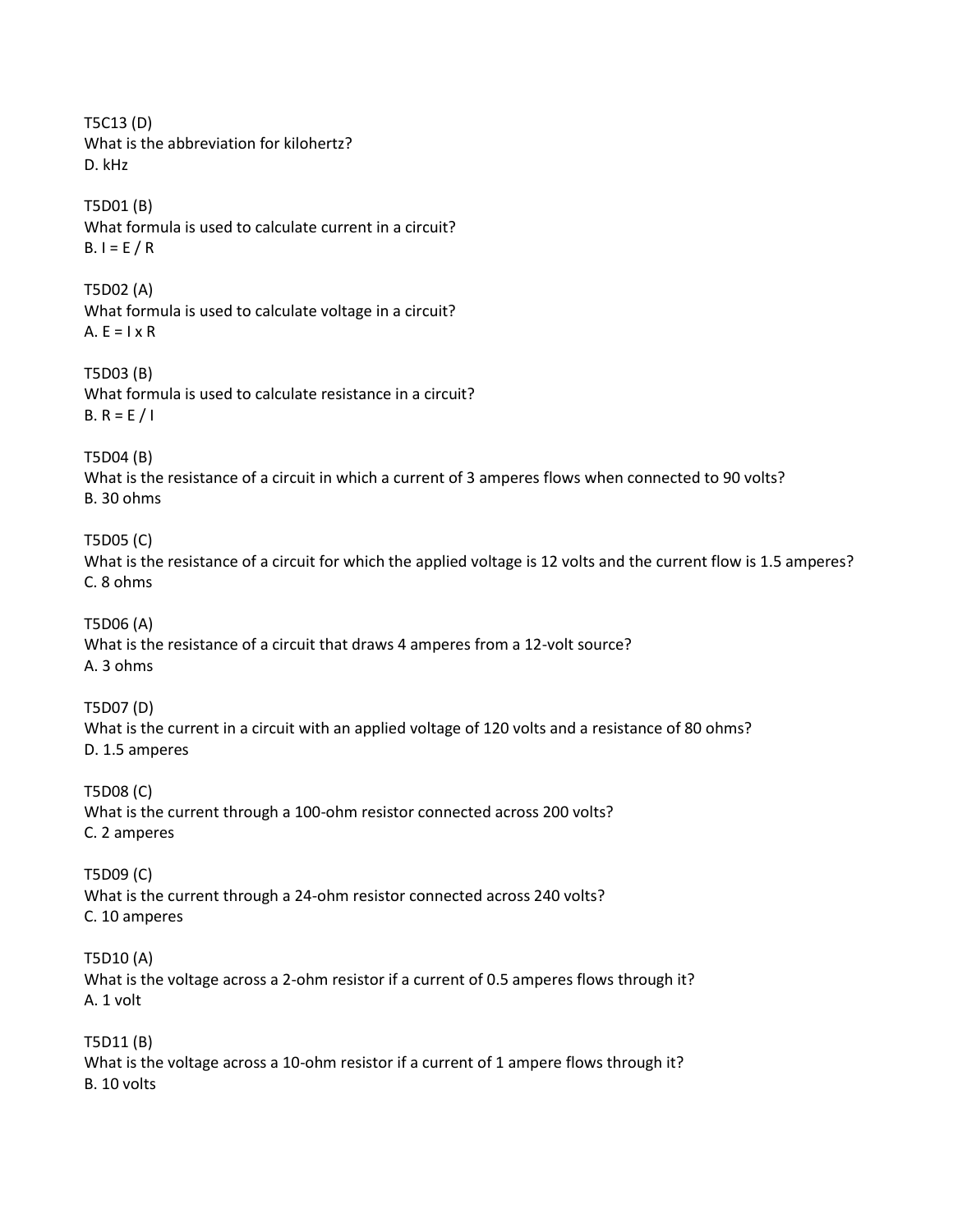T5C13 (D) What is the abbreviation for kilohertz? D. kHz T5D01 (B) What formula is used to calculate current in a circuit?  $B. I = E / R$ T5D02 (A) What formula is used to calculate voltage in a circuit? A.  $E = I \times R$ T5D03 (B) What formula is used to calculate resistance in a circuit? B.  $R = E / I$ T5D04 (B) What is the resistance of a circuit in which a current of 3 amperes flows when connected to 90 volts? B. 30 ohms T5D05 (C) What is the resistance of a circuit for which the applied voltage is 12 volts and the current flow is 1.5 amperes? C. 8 ohms T5D06 (A) What is the resistance of a circuit that draws 4 amperes from a 12-volt source? A. 3 ohms T5D07 (D) What is the current in a circuit with an applied voltage of 120 volts and a resistance of 80 ohms? D. 1.5 amperes T5D08 (C) What is the current through a 100-ohm resistor connected across 200 volts? C. 2 amperes T5D09 (C) What is the current through a 24-ohm resistor connected across 240 volts? C. 10 amperes T5D10 (A) What is the voltage across a 2-ohm resistor if a current of 0.5 amperes flows through it? A. 1 volt T5D11 (B) What is the voltage across a 10-ohm resistor if a current of 1 ampere flows through it? B. 10 volts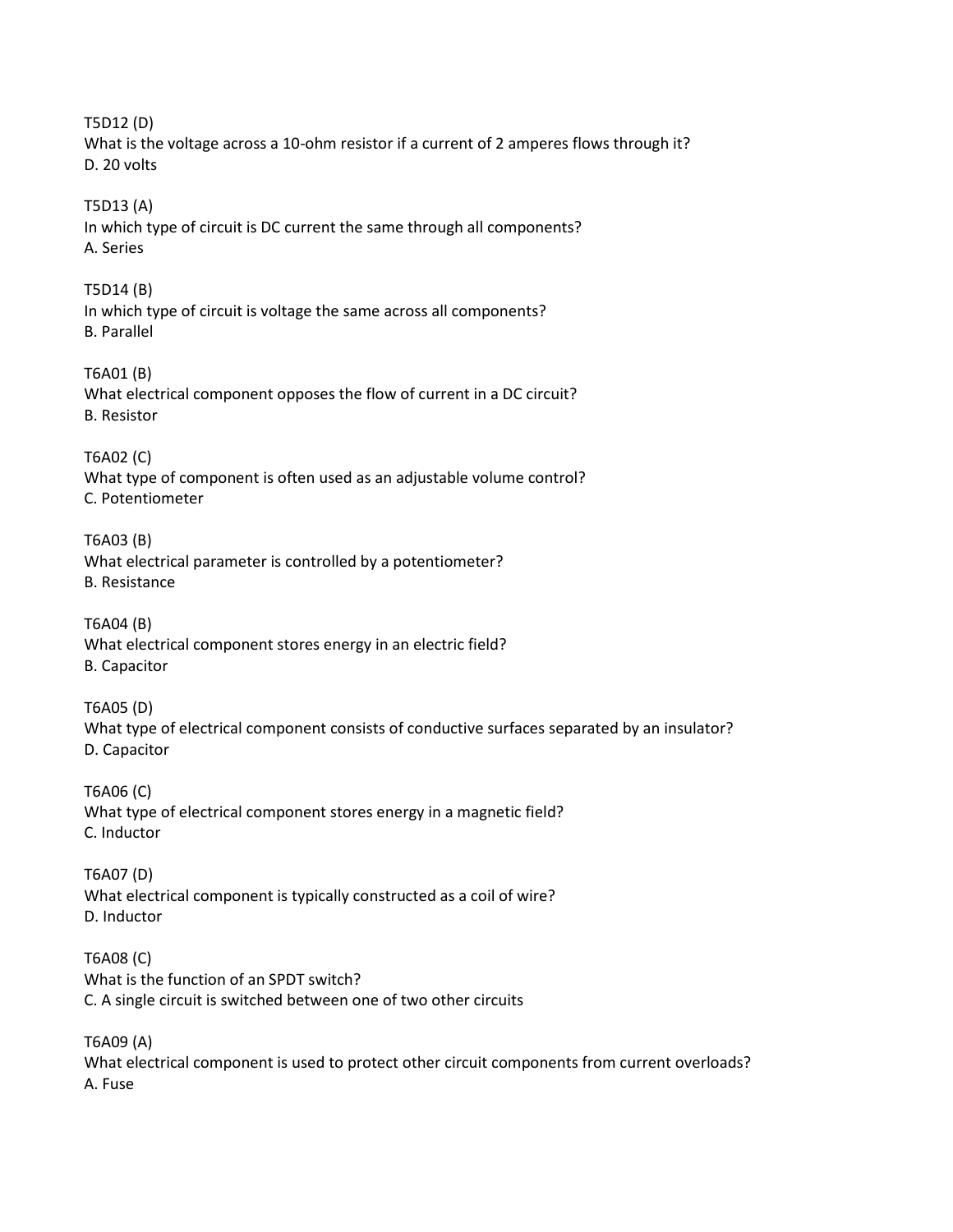T5D12 (D) What is the voltage across a 10-ohm resistor if a current of 2 amperes flows through it? D. 20 volts T5D13 (A) In which type of circuit is DC current the same through all components? A. Series T5D14 (B) In which type of circuit is voltage the same across all components? B. Parallel T6A01 (B) What electrical component opposes the flow of current in a DC circuit? B. Resistor T6A02 (C) What type of component is often used as an adjustable volume control? C. Potentiometer T6A03 (B) What electrical parameter is controlled by a potentiometer? B. Resistance T6A04 (B) What electrical component stores energy in an electric field? B. Capacitor T6A05 (D) What type of electrical component consists of conductive surfaces separated by an insulator? D. Capacitor T6A06 (C) What type of electrical component stores energy in a magnetic field? C. Inductor T6A07 (D) What electrical component is typically constructed as a coil of wire? D. Inductor T6A08 (C) What is the function of an SPDT switch? C. A single circuit is switched between one of two other circuits T6A09 (A) What electrical component is used to protect other circuit components from current overloads? A. Fuse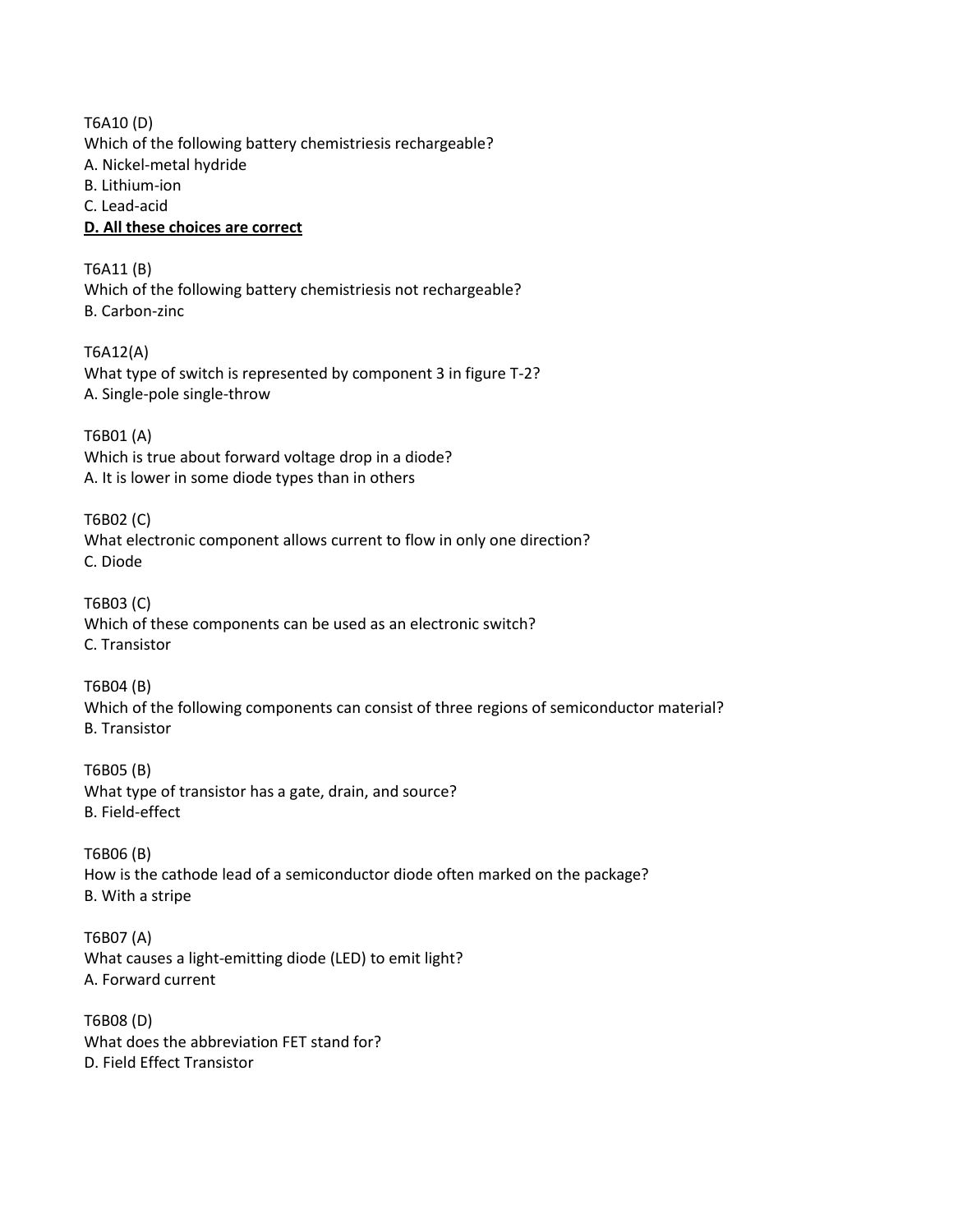T6A10 (D) Which of the following battery chemistriesis rechargeable? A. Nickel-metal hydride B. Lithium-ion C. Lead-acid **D. All these choices are correct**

T6A11 (B) Which of the following battery chemistriesis not rechargeable? B. Carbon-zinc

T6A12(A) What type of switch is represented by component 3 in figure T-2? A. Single-pole single-throw

T6B01 (A) Which is true about forward voltage drop in a diode? A. It is lower in some diode types than in others

T6B02 (C) What electronic component allows current to flow in only one direction? C. Diode

T6B03 (C) Which of these components can be used as an electronic switch? C. Transistor

T6B04 (B) Which of the following components can consist of three regions of semiconductor material? B. Transistor

T6B05 (B) What type of transistor has a gate, drain, and source? B. Field-effect

T6B06 (B) How is the cathode lead of a semiconductor diode often marked on the package? B. With a stripe

T6B07 (A) What causes a light-emitting diode (LED) to emit light? A. Forward current

T6B08 (D) What does the abbreviation FET stand for? D. Field Effect Transistor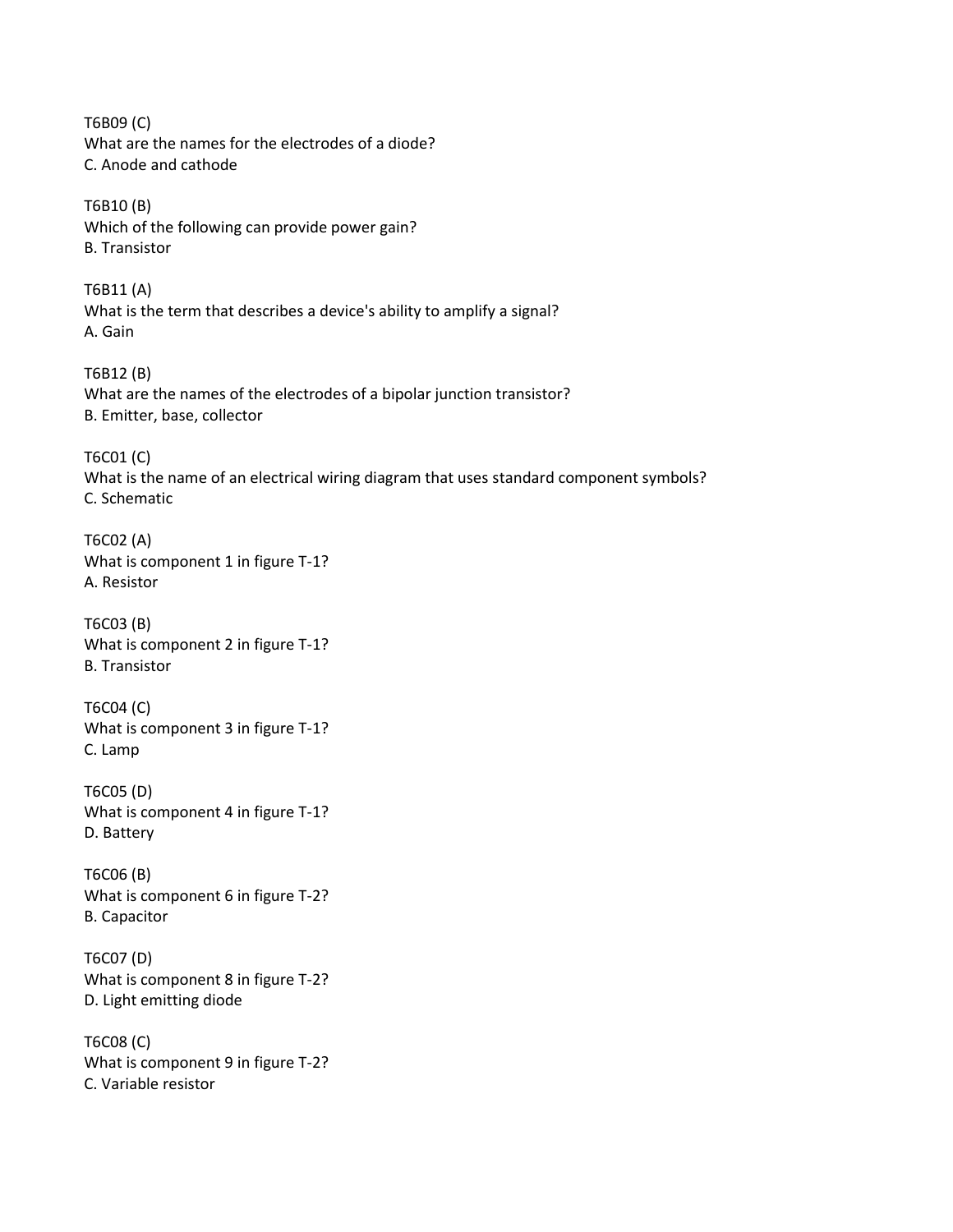T6B09 (C) What are the names for the electrodes of a diode? C. Anode and cathode

T6B10 (B) Which of the following can provide power gain? B. Transistor

T6B11 (A) What is the term that describes a device's ability to amplify a signal? A. Gain

T6B12 (B) What are the names of the electrodes of a bipolar junction transistor? B. Emitter, base, collector

T6C01 (C) What is the name of an electrical wiring diagram that uses standard component symbols? C. Schematic

T6C02 (A) What is component 1 in figure T-1? A. Resistor

T6C03 (B) What is component 2 in figure T-1? B. Transistor

T6C04 (C) What is component 3 in figure T-1? C. Lamp

T6C05 (D) What is component 4 in figure T-1? D. Battery

T6C06 (B) What is component 6 in figure T-2? B. Capacitor

T6C07 (D) What is component 8 in figure T-2? D. Light emitting diode

T6C08 (C) What is component 9 in figure T-2? C. Variable resistor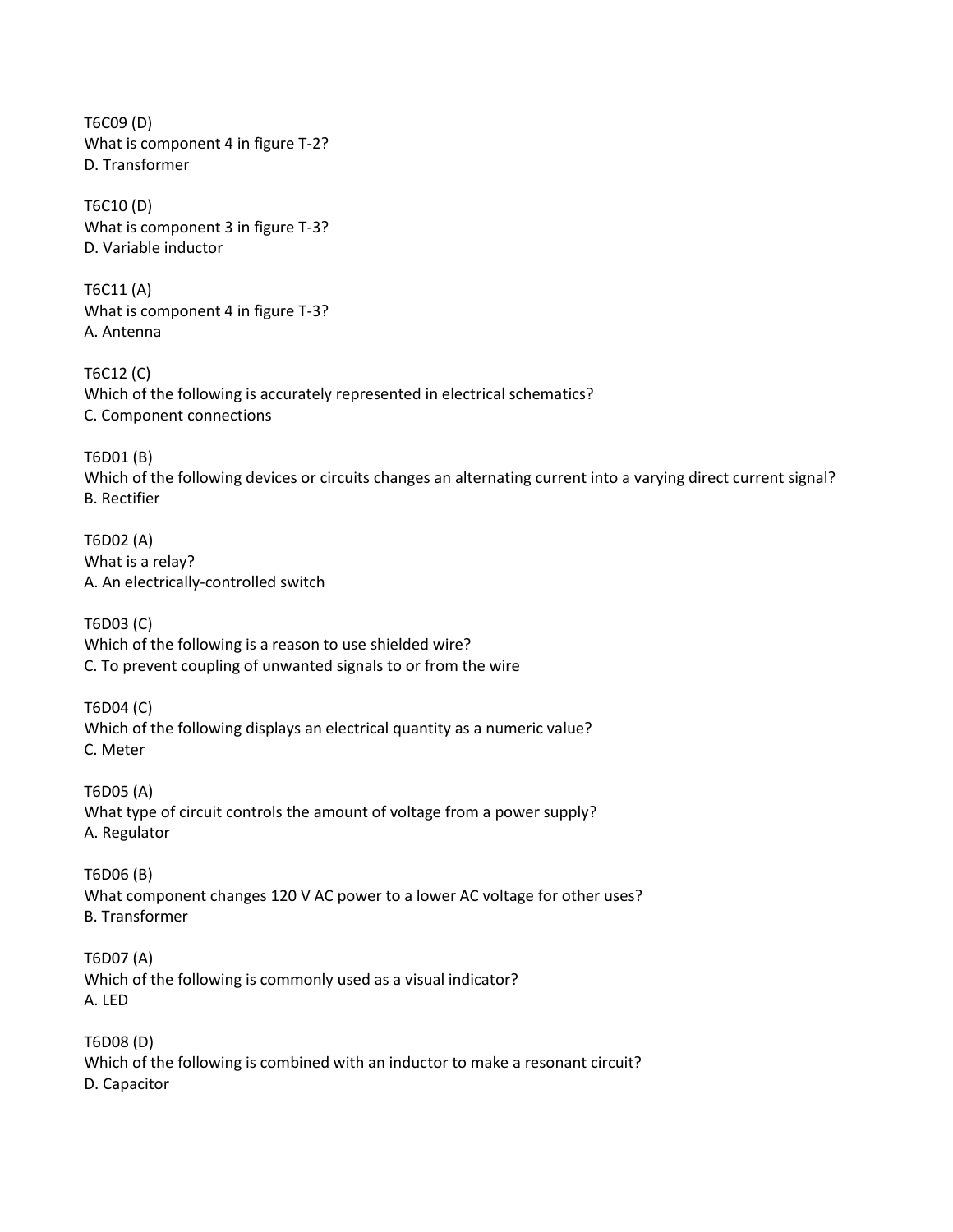T6C09 (D) What is component 4 in figure T-2? D. Transformer

T6C10 (D) What is component 3 in figure T-3? D. Variable inductor

T6C11 (A) What is component 4 in figure T-3? A. Antenna

T6C12 (C) Which of the following is accurately represented in electrical schematics? C. Component connections

T6D01 (B) Which of the following devices or circuits changes an alternating current into a varying direct current signal? B. Rectifier

T6D02 (A) What is a relay? A. An electrically-controlled switch

T6D03 (C) Which of the following is a reason to use shielded wire? C. To prevent coupling of unwanted signals to or from the wire

T6D04 (C) Which of the following displays an electrical quantity as a numeric value? C. Meter

T6D05 (A) What type of circuit controls the amount of voltage from a power supply? A. Regulator

T6D06 (B) What component changes 120 V AC power to a lower AC voltage for other uses? B. Transformer

T6D07 (A) Which of the following is commonly used as a visual indicator? A. LED

T6D08 (D) Which of the following is combined with an inductor to make a resonant circuit? D. Capacitor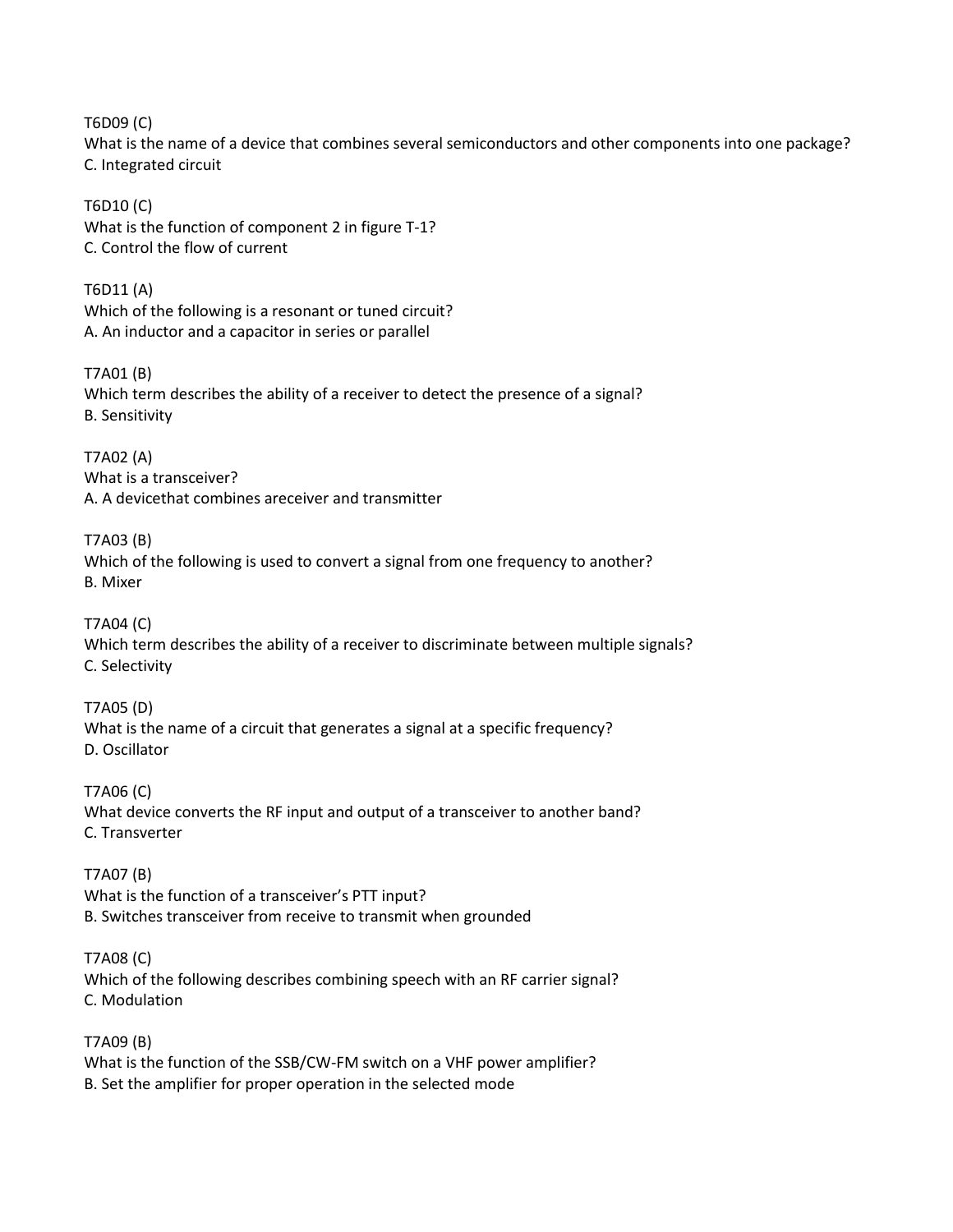T6D09 (C) What is the name of a device that combines several semiconductors and other components into one package? C. Integrated circuit

T6D10 (C) What is the function of component 2 in figure T-1? C. Control the flow of current

T6D11 (A) Which of the following is a resonant or tuned circuit? A. An inductor and a capacitor in series or parallel

T7A01 (B) Which term describes the ability of a receiver to detect the presence of a signal? B. Sensitivity

T7A02 (A) What is a transceiver? A. A devicethat combines areceiver and transmitter

T7A03 (B) Which of the following is used to convert a signal from one frequency to another? B. Mixer

T7A04 (C) Which term describes the ability of a receiver to discriminate between multiple signals? C. Selectivity

T7A05 (D) What is the name of a circuit that generates a signal at a specific frequency? D. Oscillator

T7A06 (C) What device converts the RF input and output of a transceiver to another band? C. Transverter

T7A07 (B) What is the function of a transceiver's PTT input? B. Switches transceiver from receive to transmit when grounded

T7A08 (C) Which of the following describes combining speech with an RF carrier signal? C. Modulation

T7A09 (B) What is the function of the SSB/CW-FM switch on a VHF power amplifier? B. Set the amplifier for proper operation in the selected mode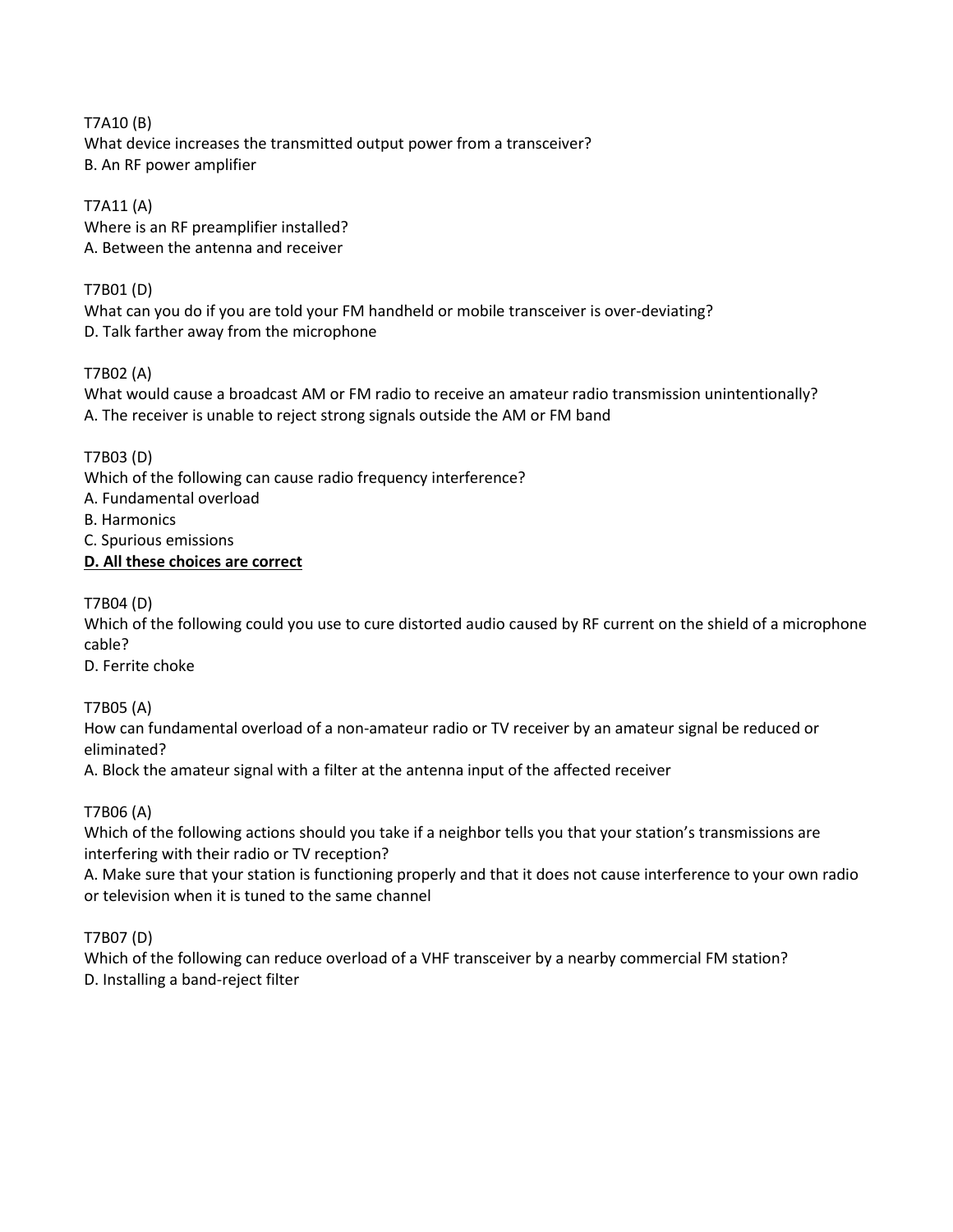T7A10 (B) What device increases the transmitted output power from a transceiver? B. An RF power amplifier

T7A11 (A) Where is an RF preamplifier installed? A. Between the antenna and receiver

# T7B01 (D)

What can you do if you are told your FM handheld or mobile transceiver is over-deviating? D. Talk farther away from the microphone

# T7B02 (A)

What would cause a broadcast AM or FM radio to receive an amateur radio transmission unintentionally? A. The receiver is unable to reject strong signals outside the AM or FM band

# T7B03 (D)

Which of the following can cause radio frequency interference? A. Fundamental overload B. Harmonics C. Spurious emissions **D. All these choices are correct**

T7B04 (D)

Which of the following could you use to cure distorted audio caused by RF current on the shield of a microphone cable?

D. Ferrite choke

T7B05 (A)

How can fundamental overload of a non-amateur radio or TV receiver by an amateur signal be reduced or eliminated?

A. Block the amateur signal with a filter at the antenna input of the affected receiver

T7B06 (A)

Which of the following actions should you take if a neighbor tells you that your station's transmissions are interfering with their radio or TV reception?

A. Make sure that your station is functioning properly and that it does not cause interference to your own radio or television when it is tuned to the same channel

T7B07 (D)

Which of the following can reduce overload of a VHF transceiver by a nearby commercial FM station? D. Installing a band-reject filter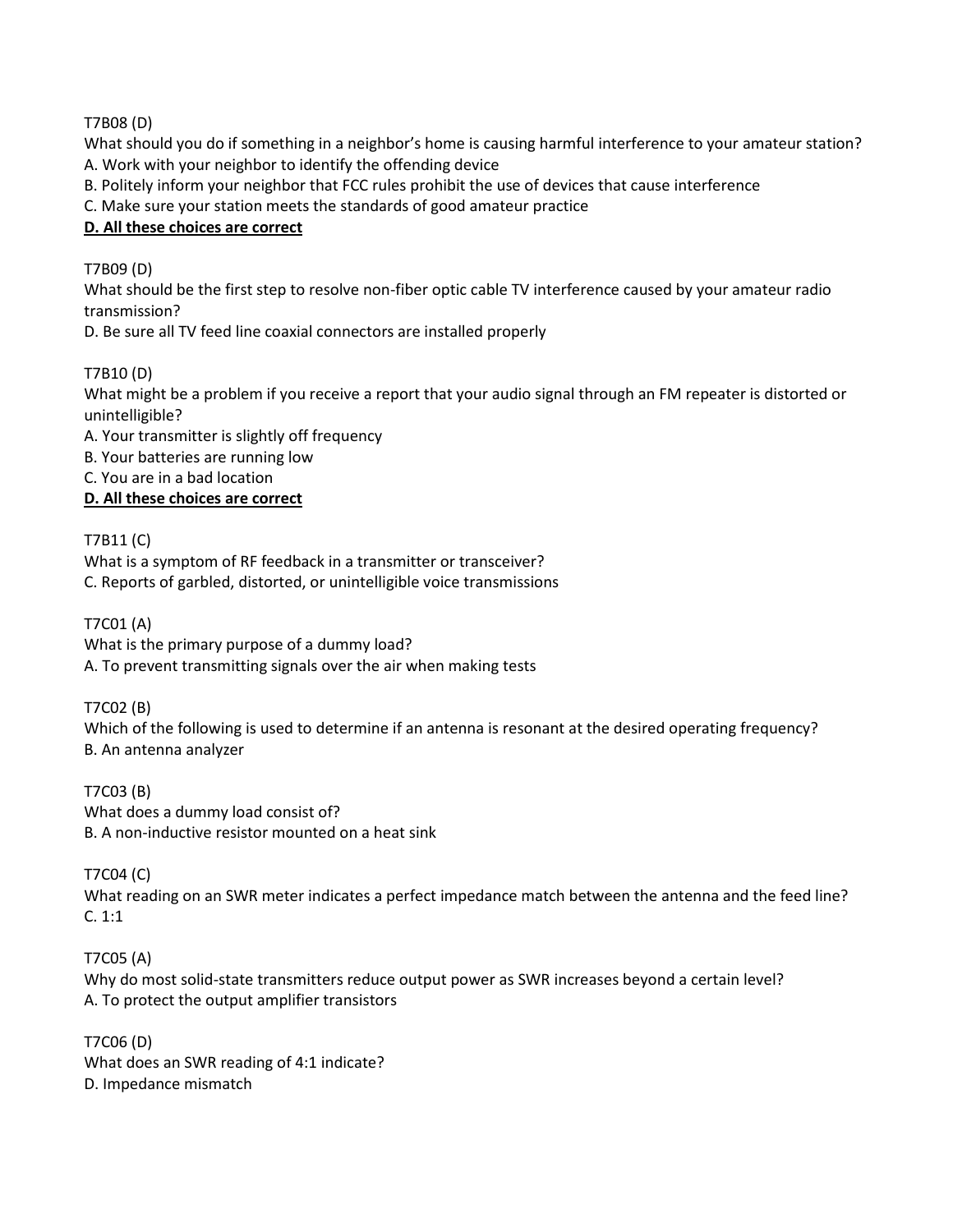T7B08 (D)

What should you do if something in a neighbor's home is causing harmful interference to your amateur station? A. Work with your neighbor to identify the offending device

- B. Politely inform your neighbor that FCC rules prohibit the use of devices that cause interference
- C. Make sure your station meets the standards of good amateur practice

## **D. All these choices are correct**

## T7B09 (D)

What should be the first step to resolve non-fiber optic cable TV interference caused by your amateur radio transmission?

D. Be sure all TV feed line coaxial connectors are installed properly

T7B10 (D)

What might be a problem if you receive a report that your audio signal through an FM repeater is distorted or unintelligible?

A. Your transmitter is slightly off frequency

- B. Your batteries are running low
- C. You are in a bad location

## **D. All these choices are correct**

## T7B11 (C)

What is a symptom of RF feedback in a transmitter or transceiver? C. Reports of garbled, distorted, or unintelligible voice transmissions

#### T7C01 (A)

What is the primary purpose of a dummy load? A. To prevent transmitting signals over the air when making tests

## T7C02 (B)

Which of the following is used to determine if an antenna is resonant at the desired operating frequency? B. An antenna analyzer

## T7C03 (B)

What does a dummy load consist of? B. A non-inductive resistor mounted on a heat sink

## T7C04 (C)

What reading on an SWR meter indicates a perfect impedance match between the antenna and the feed line? C. 1:1

#### T7C05 (A) Why do most solid-state transmitters reduce output power as SWR increases beyond a certain level? A. To protect the output amplifier transistors

T7C06 (D) What does an SWR reading of 4:1 indicate? D. Impedance mismatch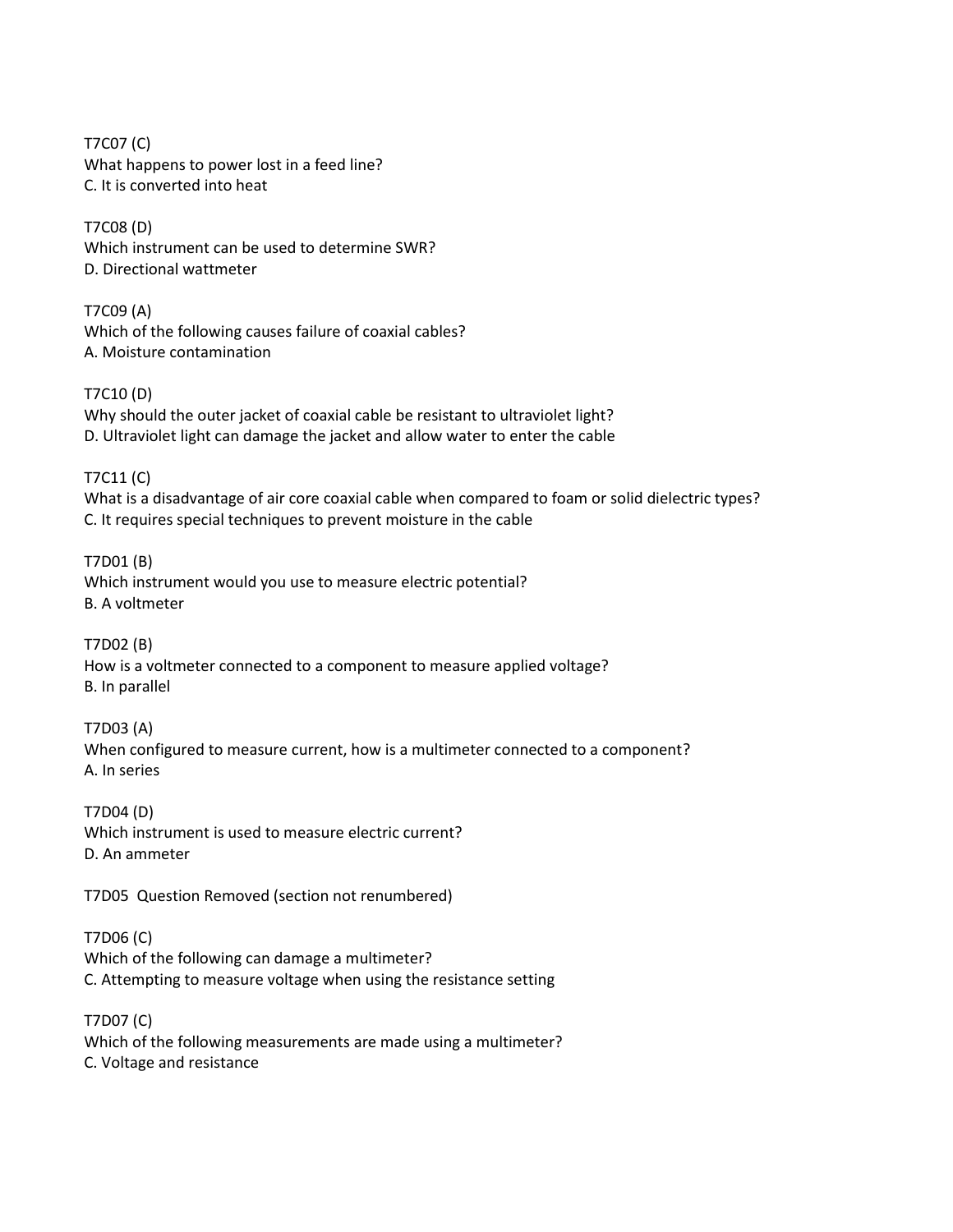T7C07 (C) What happens to power lost in a feed line? C. It is converted into heat

T7C08 (D) Which instrument can be used to determine SWR? D. Directional wattmeter

T7C09 (A) Which of the following causes failure of coaxial cables? A. Moisture contamination

T7C10 (D) Why should the outer jacket of coaxial cable be resistant to ultraviolet light? D. Ultraviolet light can damage the jacket and allow water to enter the cable

T7C11 (C) What is a disadvantage of air core coaxial cable when compared to foam or solid dielectric types? C. It requires special techniques to prevent moisture in the cable

T7D01 (B) Which instrument would you use to measure electric potential? B. A voltmeter

T7D02 (B) How is a voltmeter connected to a component to measure applied voltage? B. In parallel

T7D03 (A) When configured to measure current, how is a multimeter connected to a component? A. In series

T7D04 (D) Which instrument is used to measure electric current? D. An ammeter

T7D05 Question Removed (section not renumbered)

T7D06 (C) Which of the following can damage a multimeter? C. Attempting to measure voltage when using the resistance setting

T7D07 (C) Which of the following measurements are made using a multimeter? C. Voltage and resistance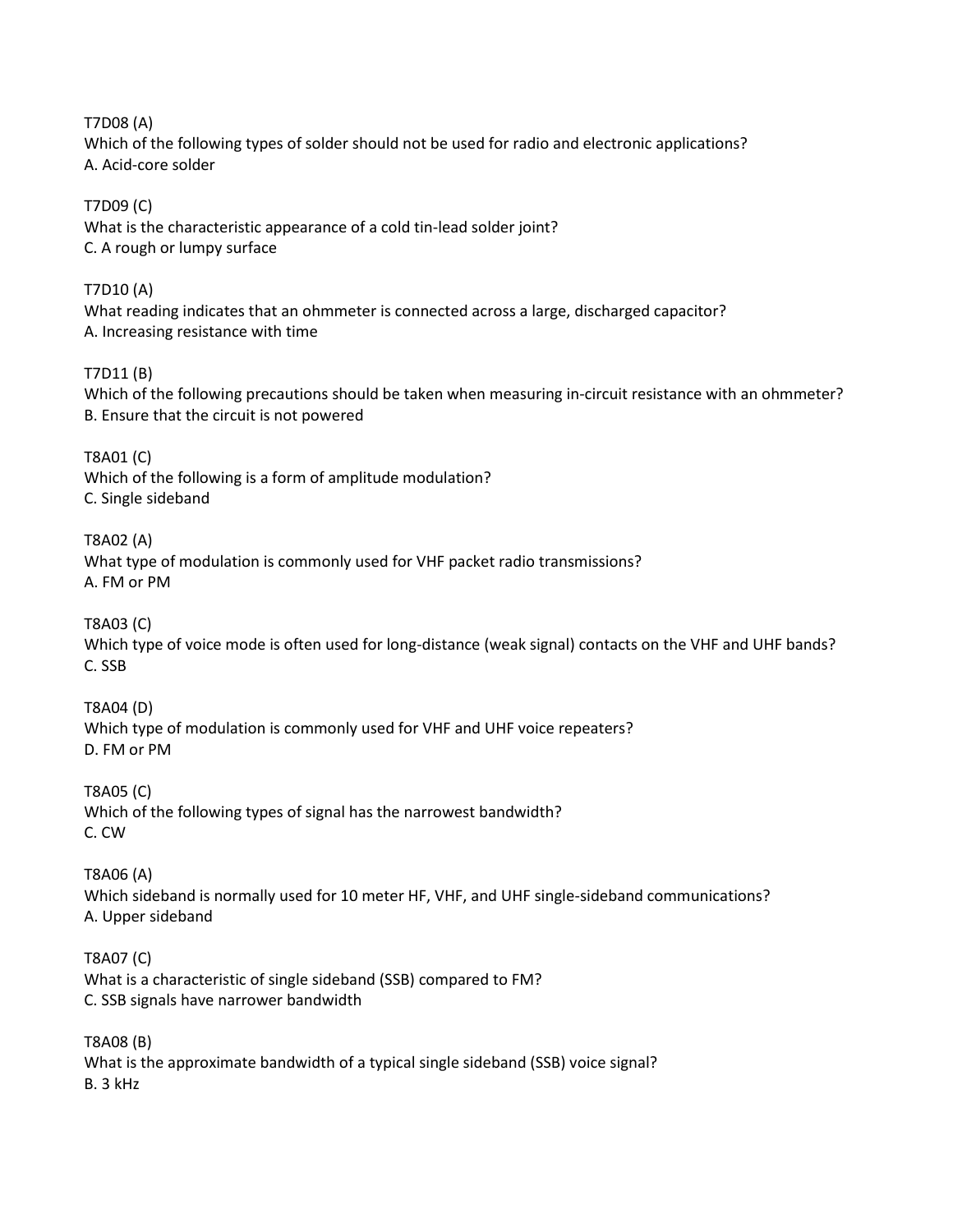T7D08 (A) Which of the following types of solder should not be used for radio and electronic applications? A. Acid-core solder T7D09 (C) What is the characteristic appearance of a cold tin-lead solder joint? C. A rough or lumpy surface T7D10 (A) What reading indicates that an ohmmeter is connected across a large, discharged capacitor? A. Increasing resistance with time T7D11 (B) Which of the following precautions should be taken when measuring in-circuit resistance with an ohmmeter? B. Ensure that the circuit is not powered T8A01 (C) Which of the following is a form of amplitude modulation? C. Single sideband T8A02 (A) What type of modulation is commonly used for VHF packet radio transmissions? A. FM or PM T8A03 (C) Which type of voice mode is often used for long-distance (weak signal) contacts on the VHF and UHF bands? C. SSB T8A04 (D) Which type of modulation is commonly used for VHF and UHF voice repeaters? D. FM or PM T8A05 (C) Which of the following types of signal has the narrowest bandwidth? C. CW T8A06 (A) Which sideband is normally used for 10 meter HF, VHF, and UHF single-sideband communications? A. Upper sideband T8A07 (C) What is a characteristic of single sideband (SSB) compared to FM? C. SSB signals have narrower bandwidth T8A08 (B) What is the approximate bandwidth of a typical single sideband (SSB) voice signal? B. 3 kHz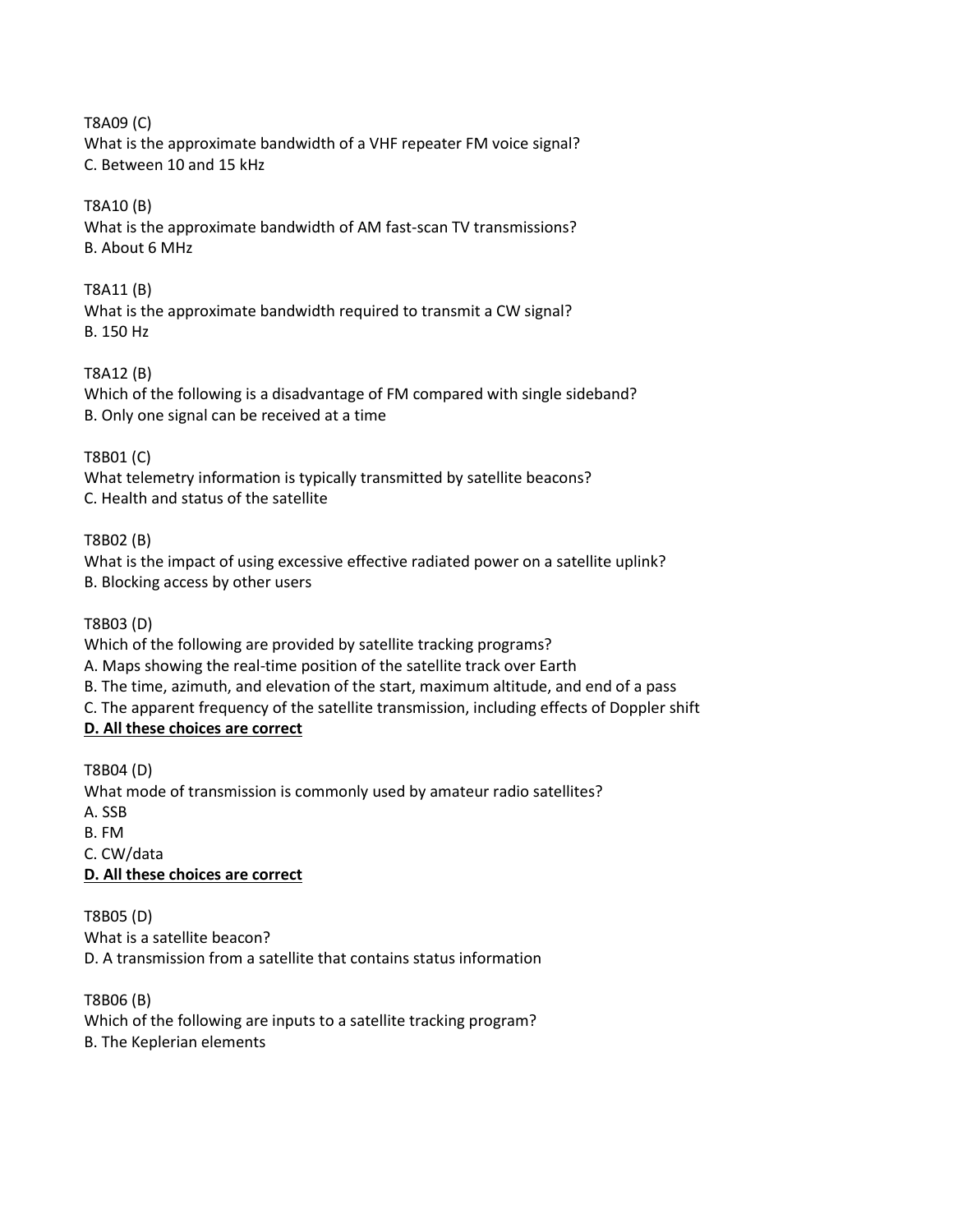T8A09 (C)

What is the approximate bandwidth of a VHF repeater FM voice signal? C. Between 10 and 15 kHz

#### T8A10 (B)

What is the approximate bandwidth of AM fast-scan TV transmissions? B. About 6 MHz

#### T8A11 (B)

What is the approximate bandwidth required to transmit a CW signal? B. 150 Hz

#### T8A12 (B)

Which of the following is a disadvantage of FM compared with single sideband? B. Only one signal can be received at a time

## T8B01 (C)

What telemetry information is typically transmitted by satellite beacons? C. Health and status of the satellite

#### T8B02 (B)

What is the impact of using excessive effective radiated power on a satellite uplink? B. Blocking access by other users

#### T8B03 (D)

Which of the following are provided by satellite tracking programs? A. Maps showing the real-time position of the satellite track over Earth B. The time, azimuth, and elevation of the start, maximum altitude, and end of a pass C. The apparent frequency of the satellite transmission, including effects of Doppler shift **D. All these choices are correct**

T8B04 (D) What mode of transmission is commonly used by amateur radio satellites? A. SSB B. FM C. CW/data **D. All these choices are correct**

T8B05 (D) What is a satellite beacon? D. A transmission from a satellite that contains status information

T8B06 (B) Which of the following are inputs to a satellite tracking program? B. The Keplerian elements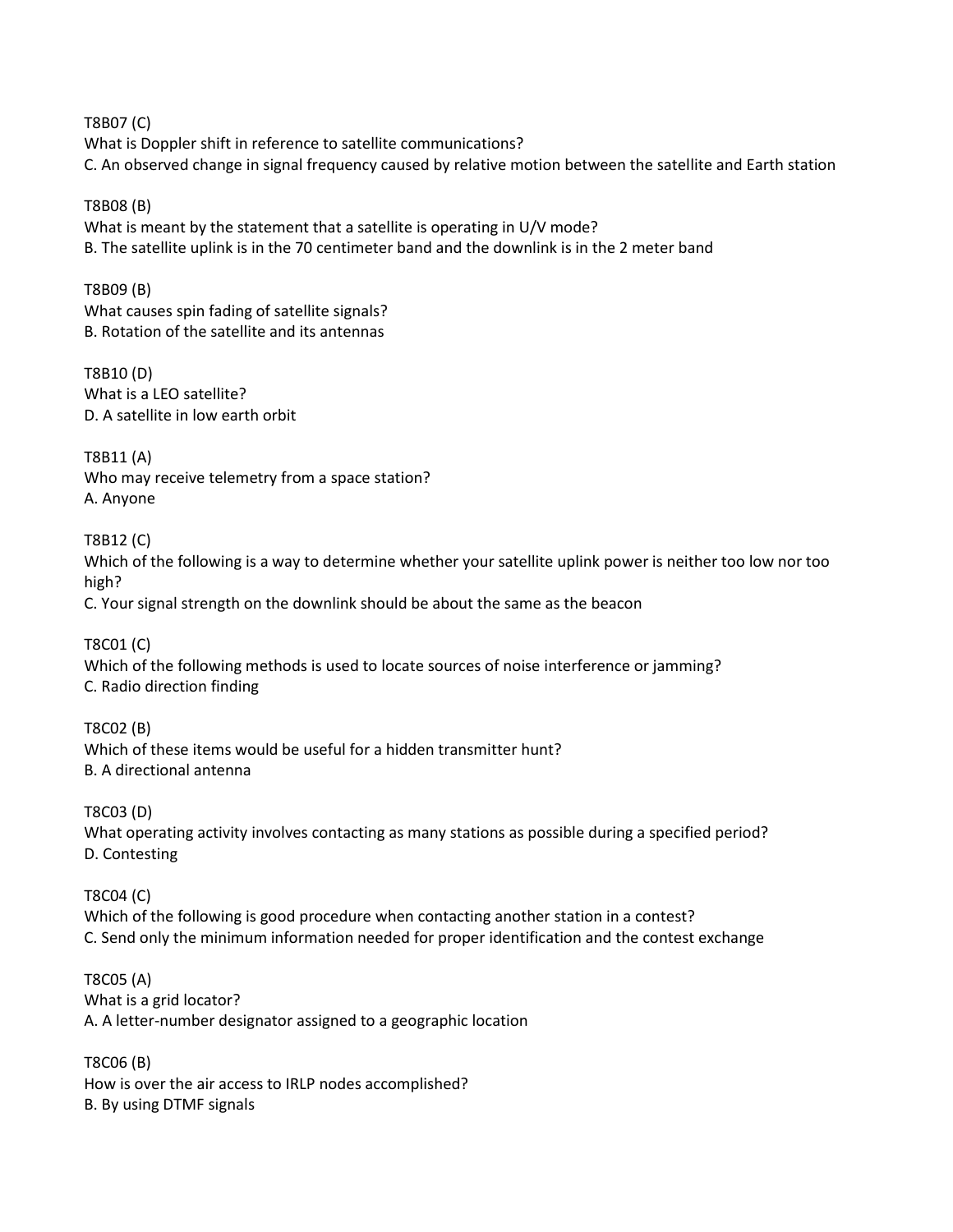T8B07 (C) What is Doppler shift in reference to satellite communications? C. An observed change in signal frequency caused by relative motion between the satellite and Earth station

T8B08 (B) What is meant by the statement that a satellite is operating in U/V mode? B. The satellite uplink is in the 70 centimeter band and the downlink is in the 2 meter band

T8B09 (B) What causes spin fading of satellite signals? B. Rotation of the satellite and its antennas

T8B10 (D) What is a LEO satellite? D. A satellite in low earth orbit

T8B11 (A) Who may receive telemetry from a space station? A. Anyone

T8B12 (C) Which of the following is a way to determine whether your satellite uplink power is neither too low nor too high? C. Your signal strength on the downlink should be about the same as the beacon

T8C01 (C) Which of the following methods is used to locate sources of noise interference or jamming? C. Radio direction finding

T8C02 (B) Which of these items would be useful for a hidden transmitter hunt? B. A directional antenna

T8C03 (D) What operating activity involves contacting as many stations as possible during a specified period? D. Contesting

T8C04 (C) Which of the following is good procedure when contacting another station in a contest? C. Send only the minimum information needed for proper identification and the contest exchange

T8C05 (A) What is a grid locator? A. A letter-number designator assigned to a geographic location

T8C06 (B) How is over the air access to IRLP nodes accomplished? B. By using DTMF signals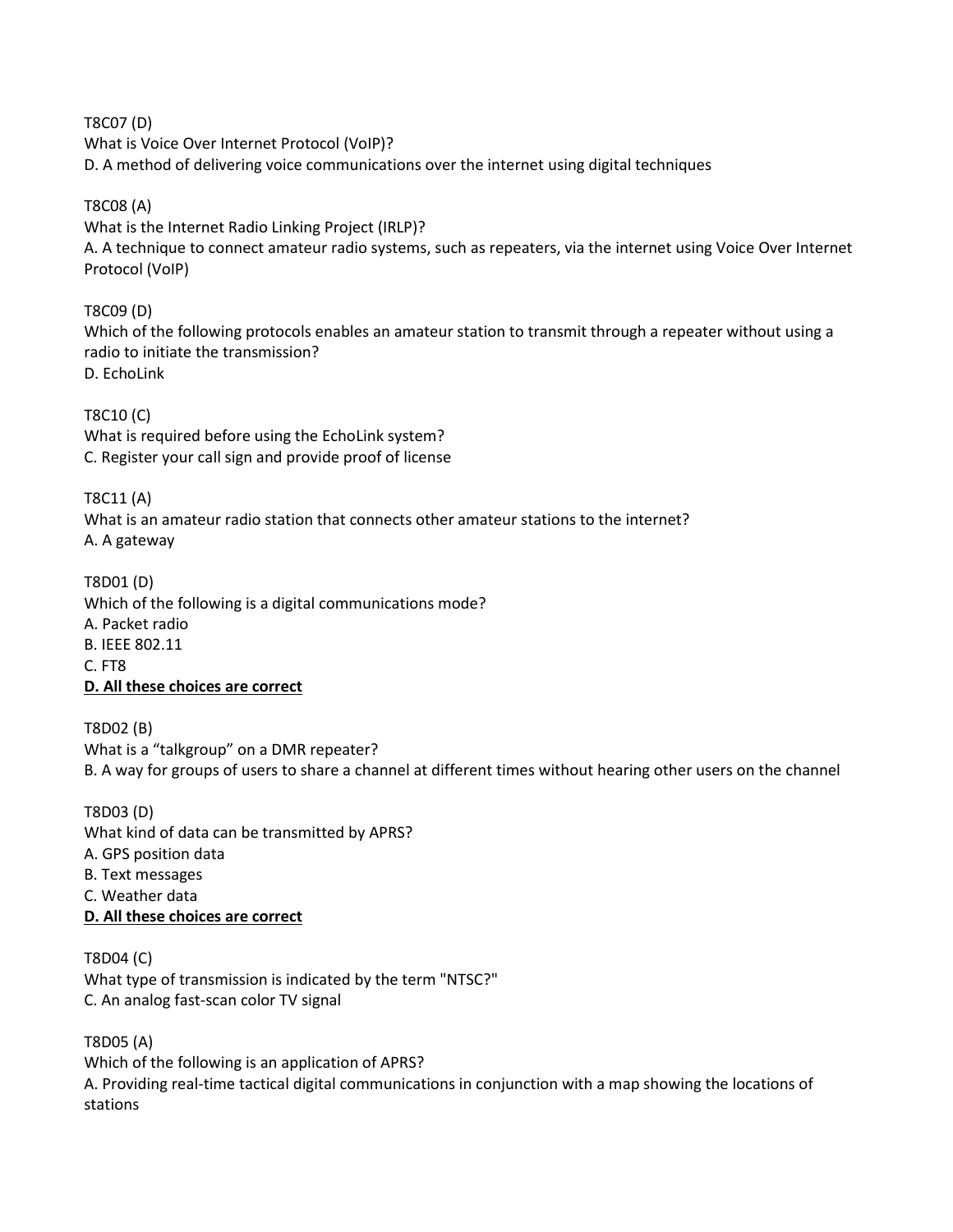T8C07 (D)

What is Voice Over Internet Protocol (VoIP)? D. A method of delivering voice communications over the internet using digital techniques

T8C08 (A)

What is the Internet Radio Linking Project (IRLP)?

A. A technique to connect amateur radio systems, such as repeaters, via the internet using Voice Over Internet Protocol (VoIP)

T8C09 (D) Which of the following protocols enables an amateur station to transmit through a repeater without using a radio to initiate the transmission? D. EchoLink

T8C10 (C) What is required before using the EchoLink system? C. Register your call sign and provide proof of license

T8C11 (A) What is an amateur radio station that connects other amateur stations to the internet? A. A gateway

T8D01 (D) Which of the following is a digital communications mode? A. Packet radio B. IEEE 802.11 C. FT8 **D. All these choices are correct**

T8D02 (B) What is a "talkgroup" on a DMR repeater? B. A way for groups of users to share a channel at different times without hearing other users on the channel

T8D03 (D) What kind of data can be transmitted by APRS? A. GPS position data B. Text messages C. Weather data **D. All these choices are correct**

T8D04 (C) What type of transmission is indicated by the term "NTSC?" C. An analog fast-scan color TV signal

T8D05 (A) Which of the following is an application of APRS? A. Providing real-time tactical digital communications in conjunction with a map showing the locations of stations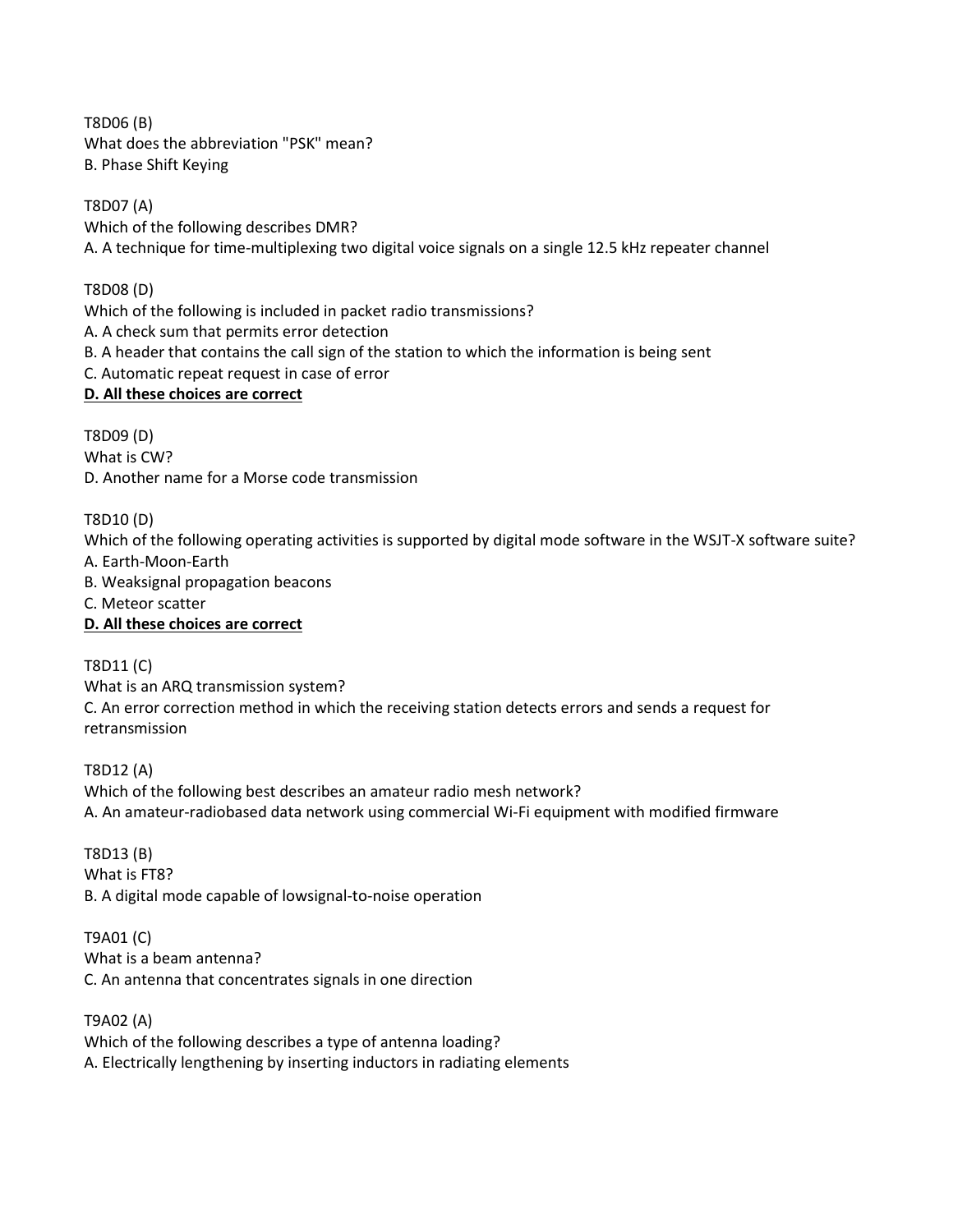T8D06 (B) What does the abbreviation "PSK" mean? B. Phase Shift Keying

T8D07 (A) Which of the following describes DMR? A. A technique for time-multiplexing two digital voice signals on a single 12.5 kHz repeater channel

T8D08 (D) Which of the following is included in packet radio transmissions? A. A check sum that permits error detection B. A header that contains the call sign of the station to which the information is being sent C. Automatic repeat request in case of error **D. All these choices are correct** 

T8D09 (D) What is CW? D. Another name for a Morse code transmission

T8D10 (D)

Which of the following operating activities is supported by digital mode software in the WSJT-X software suite? A. Earth-Moon-Earth

B. Weaksignal propagation beacons

C. Meteor scatter

# **D. All these choices are correct**

T8D11 (C)

What is an ARQ transmission system? C. An error correction method in which the receiving station detects errors and sends a request for retransmission

T8D12 (A) Which of the following best describes an amateur radio mesh network? A. An amateur-radiobased data network using commercial Wi-Fi equipment with modified firmware

T8D13 (B) What is FT8? B. A digital mode capable of lowsignal-to-noise operation

T9A01 (C) What is a beam antenna? C. An antenna that concentrates signals in one direction

T9A02 (A) Which of the following describes a type of antenna loading? A. Electrically lengthening by inserting inductors in radiating elements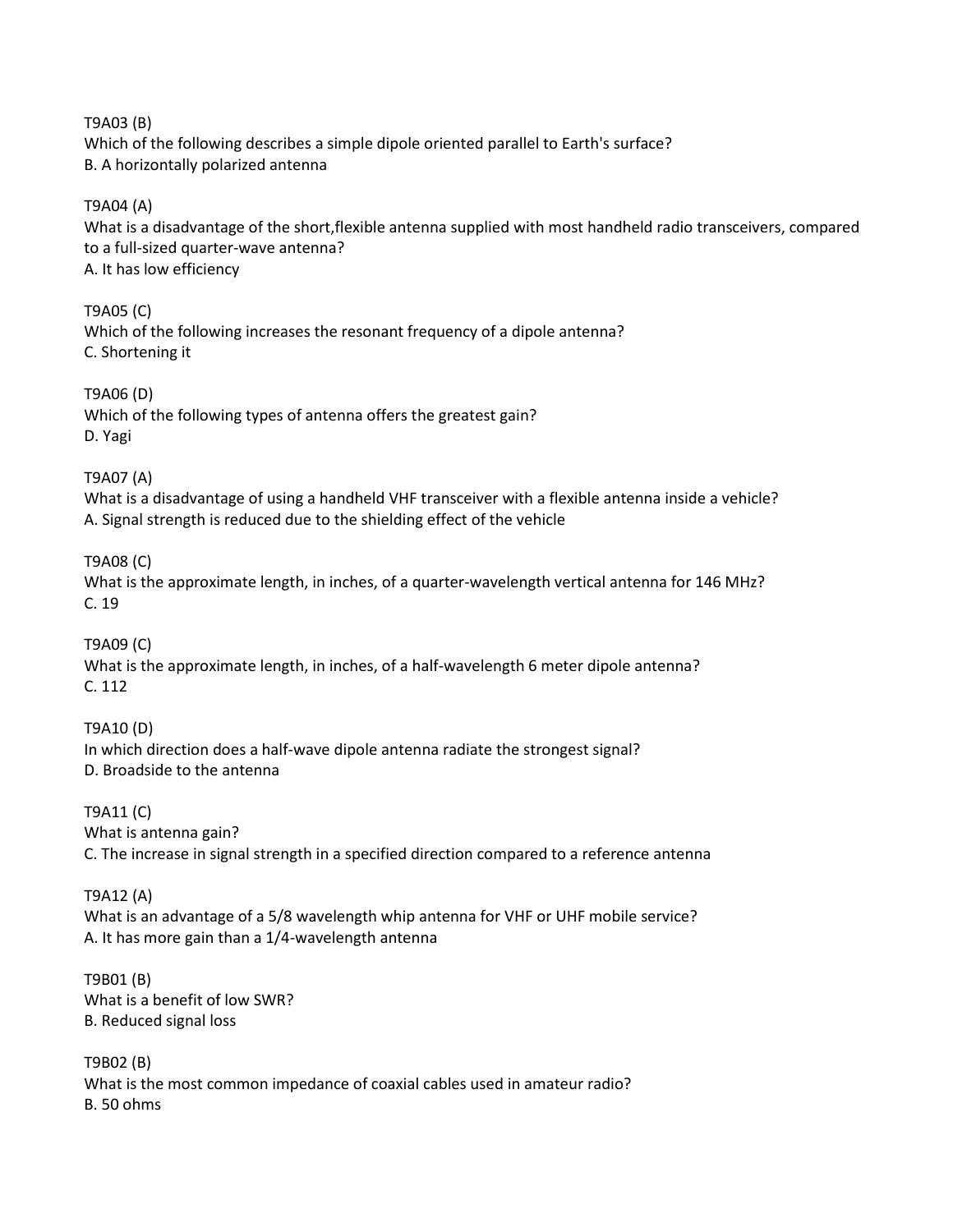T9A03 (B)

Which of the following describes a simple dipole oriented parallel to Earth's surface? B. A horizontally polarized antenna

T9A04 (A)

What is a disadvantage of the short,flexible antenna supplied with most handheld radio transceivers, compared to a full-sized quarter-wave antenna? A. It has low efficiency

T9A05 (C) Which of the following increases the resonant frequency of a dipole antenna? C. Shortening it

T9A06 (D) Which of the following types of antenna offers the greatest gain? D. Yagi

T9A07 (A) What is a disadvantage of using a handheld VHF transceiver with a flexible antenna inside a vehicle? A. Signal strength is reduced due to the shielding effect of the vehicle

T9A08 (C) What is the approximate length, in inches, of a quarter-wavelength vertical antenna for 146 MHz? C. 19

T9A09 (C) What is the approximate length, in inches, of a half-wavelength 6 meter dipole antenna? C. 112

T9A10 (D) In which direction does a half-wave dipole antenna radiate the strongest signal? D. Broadside to the antenna

T9A11 (C) What is antenna gain? C. The increase in signal strength in a specified direction compared to a reference antenna

T9A12 (A) What is an advantage of a 5/8 wavelength whip antenna for VHF or UHF mobile service? A. It has more gain than a 1/4-wavelength antenna

T9B01 (B) What is a benefit of low SWR? B. Reduced signal loss

T9B02 (B) What is the most common impedance of coaxial cables used in amateur radio? B. 50 ohms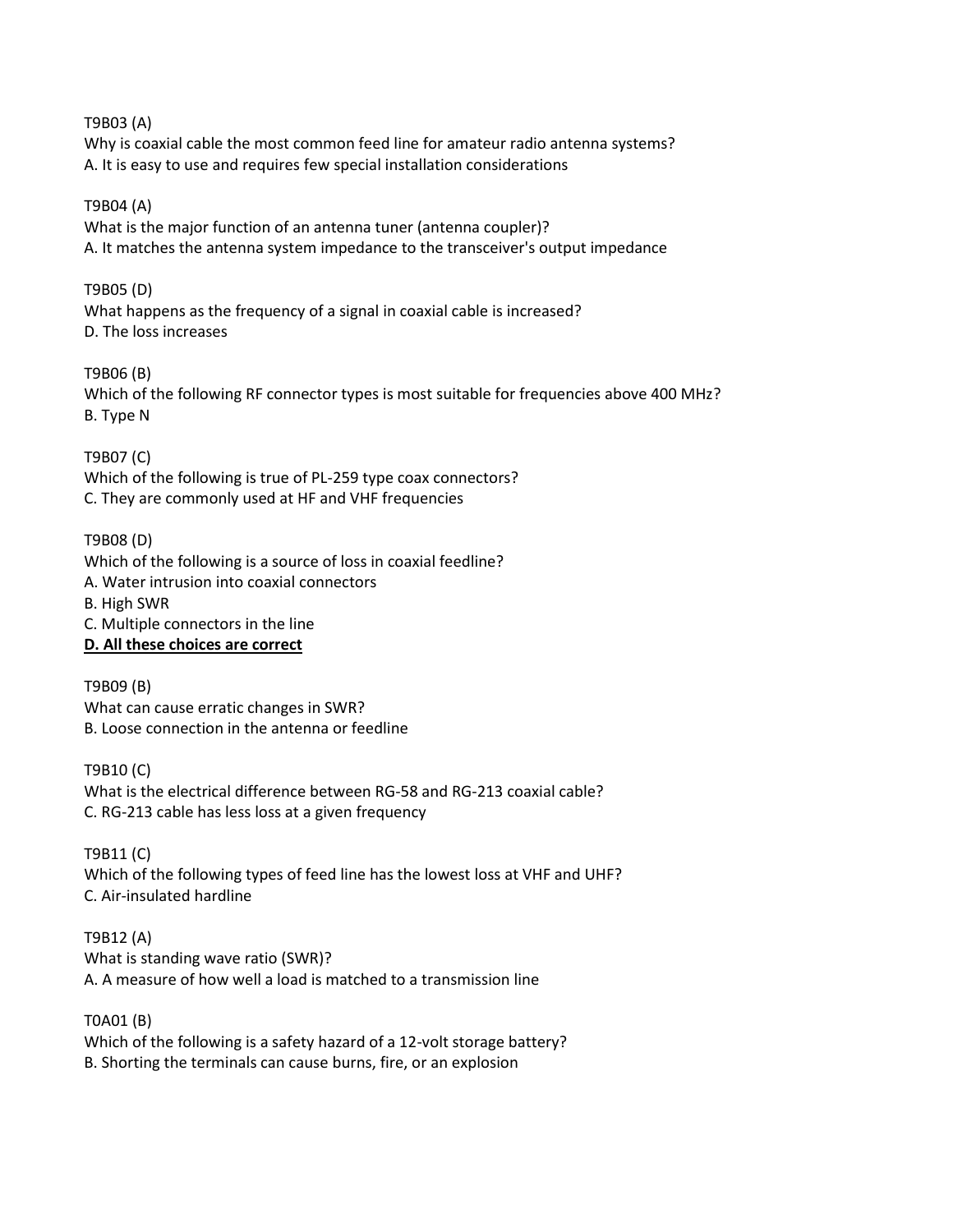T9B03 (A)

Why is coaxial cable the most common feed line for amateur radio antenna systems? A. It is easy to use and requires few special installation considerations

#### T9B04 (A)

What is the major function of an antenna tuner (antenna coupler)? A. It matches the antenna system impedance to the transceiver's output impedance

#### T9B05 (D)

What happens as the frequency of a signal in coaxial cable is increased? D. The loss increases

T9B06 (B)

Which of the following RF connector types is most suitable for frequencies above 400 MHz? B. Type N

## T9B07 (C)

Which of the following is true of PL-259 type coax connectors? C. They are commonly used at HF and VHF frequencies

## T9B08 (D)

Which of the following is a source of loss in coaxial feedline? A. Water intrusion into coaxial connectors B. High SWR C. Multiple connectors in the line **D. All these choices are correct**

T9B09 (B) What can cause erratic changes in SWR? B. Loose connection in the antenna or feedline

T9B10 (C) What is the electrical difference between RG-58 and RG-213 coaxial cable? C. RG-213 cable has less loss at a given frequency

T9B11 (C) Which of the following types of feed line has the lowest loss at VHF and UHF? C. Air-insulated hardline

T9B12 (A) What is standing wave ratio (SWR)? A. A measure of how well a load is matched to a transmission line

T0A01 (B) Which of the following is a safety hazard of a 12-volt storage battery? B. Shorting the terminals can cause burns, fire, or an explosion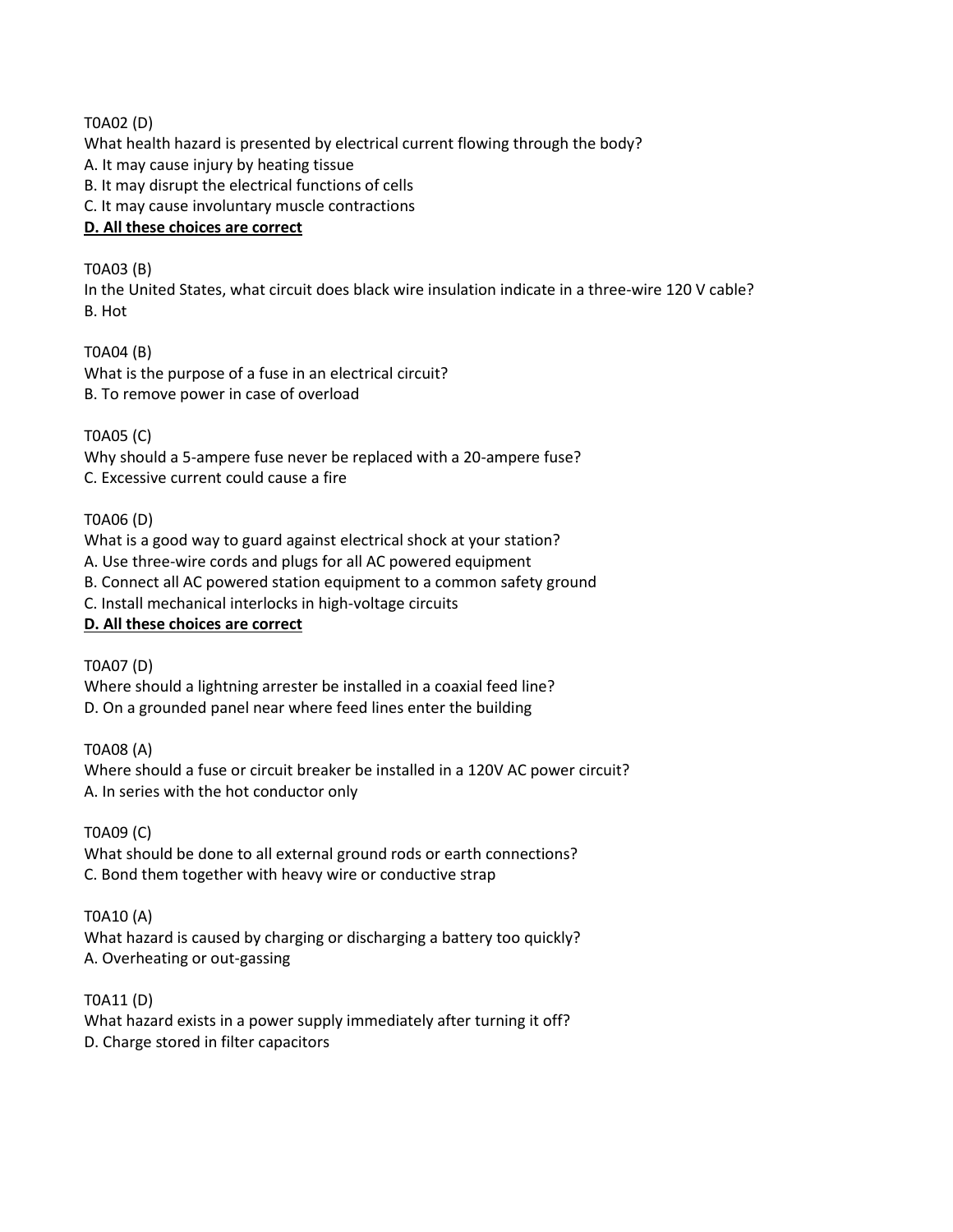T0A02 (D)

What health hazard is presented by electrical current flowing through the body? A. It may cause injury by heating tissue

B. It may disrupt the electrical functions of cells

C. It may cause involuntary muscle contractions

## **D. All these choices are correct**

T0A03 (B)

In the United States, what circuit does black wire insulation indicate in a three-wire 120 V cable? B. Hot

T0A04 (B) What is the purpose of a fuse in an electrical circuit? B. To remove power in case of overload

T0A05 (C)

Why should a 5-ampere fuse never be replaced with a 20-ampere fuse? C. Excessive current could cause a fire

T0A06 (D)

What is a good way to guard against electrical shock at your station?

A. Use three-wire cords and plugs for all AC powered equipment

B. Connect all AC powered station equipment to a common safety ground

C. Install mechanical interlocks in high-voltage circuits

# **D. All these choices are correct**

T0A07 (D)

Where should a lightning arrester be installed in a coaxial feed line? D. On a grounded panel near where feed lines enter the building

T0A08 (A) Where should a fuse or circuit breaker be installed in a 120V AC power circuit? A. In series with the hot conductor only

T0A09 (C) What should be done to all external ground rods or earth connections? C. Bond them together with heavy wire or conductive strap

T0A10 (A) What hazard is caused by charging or discharging a battery too quickly? A. Overheating or out-gassing

T0A11 (D) What hazard exists in a power supply immediately after turning it off? D. Charge stored in filter capacitors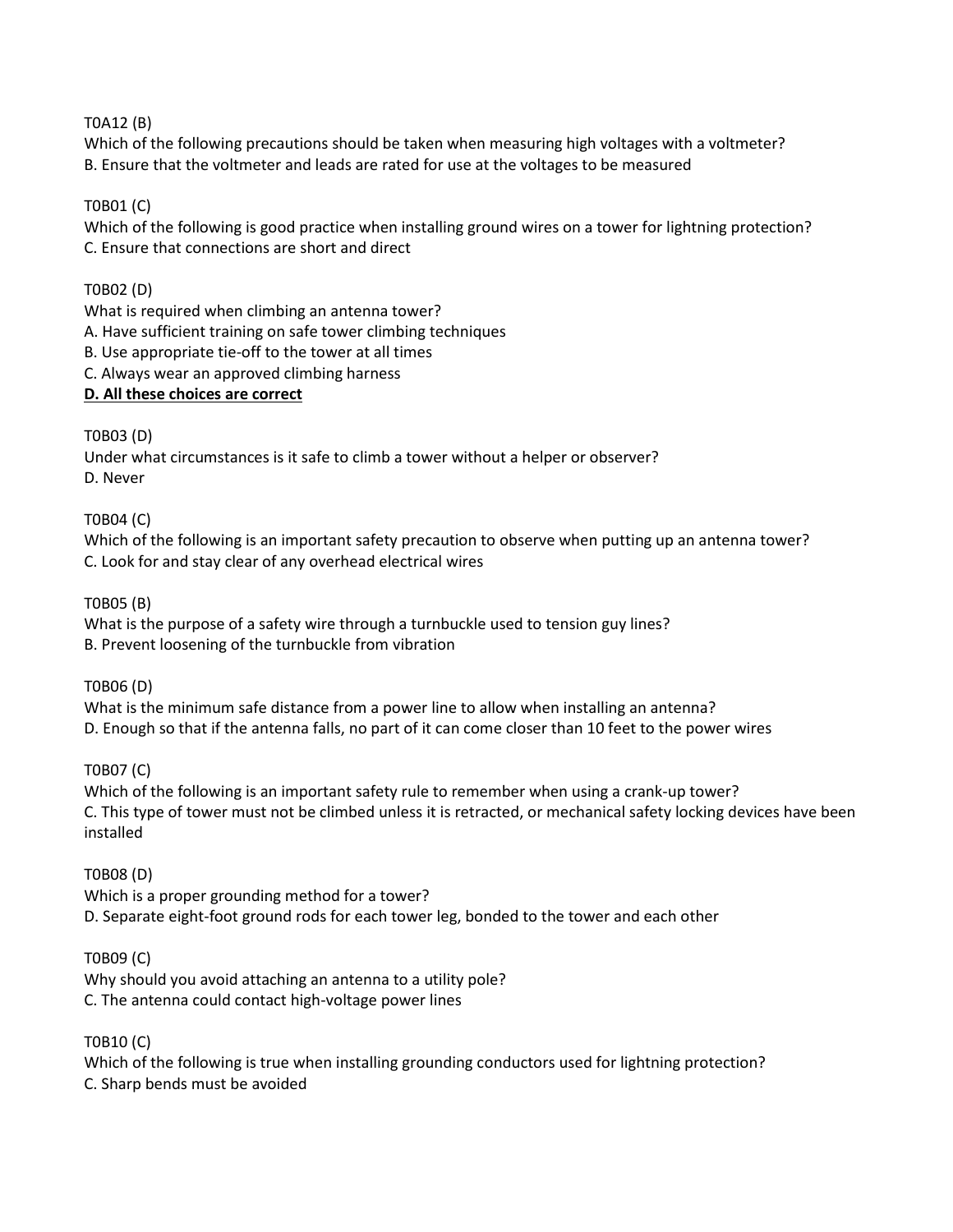T0A12 (B)

Which of the following precautions should be taken when measuring high voltages with a voltmeter? B. Ensure that the voltmeter and leads are rated for use at the voltages to be measured

T0B01 (C)

Which of the following is good practice when installing ground wires on a tower for lightning protection? C. Ensure that connections are short and direct

T0B02 (D)

What is required when climbing an antenna tower?

A. Have sufficient training on safe tower climbing techniques

B. Use appropriate tie-off to the tower at all times

C. Always wear an approved climbing harness

## **D. All these choices are correct**

T0B03 (D)

Under what circumstances is it safe to climb a tower without a helper or observer? D. Never

T0B04 (C)

Which of the following is an important safety precaution to observe when putting up an antenna tower? C. Look for and stay clear of any overhead electrical wires

T0B05 (B)

What is the purpose of a safety wire through a turnbuckle used to tension guy lines? B. Prevent loosening of the turnbuckle from vibration

T0B06 (D)

What is the minimum safe distance from a power line to allow when installing an antenna? D. Enough so that if the antenna falls, no part of it can come closer than 10 feet to the power wires

T0B07 (C)

Which of the following is an important safety rule to remember when using a crank-up tower? C. This type of tower must not be climbed unless it is retracted, or mechanical safety locking devices have been installed

T0B08 (D)

Which is a proper grounding method for a tower? D. Separate eight-foot ground rods for each tower leg, bonded to the tower and each other

T0B09 (C)

Why should you avoid attaching an antenna to a utility pole? C. The antenna could contact high-voltage power lines

T0B10 (C)

Which of the following is true when installing grounding conductors used for lightning protection? C. Sharp bends must be avoided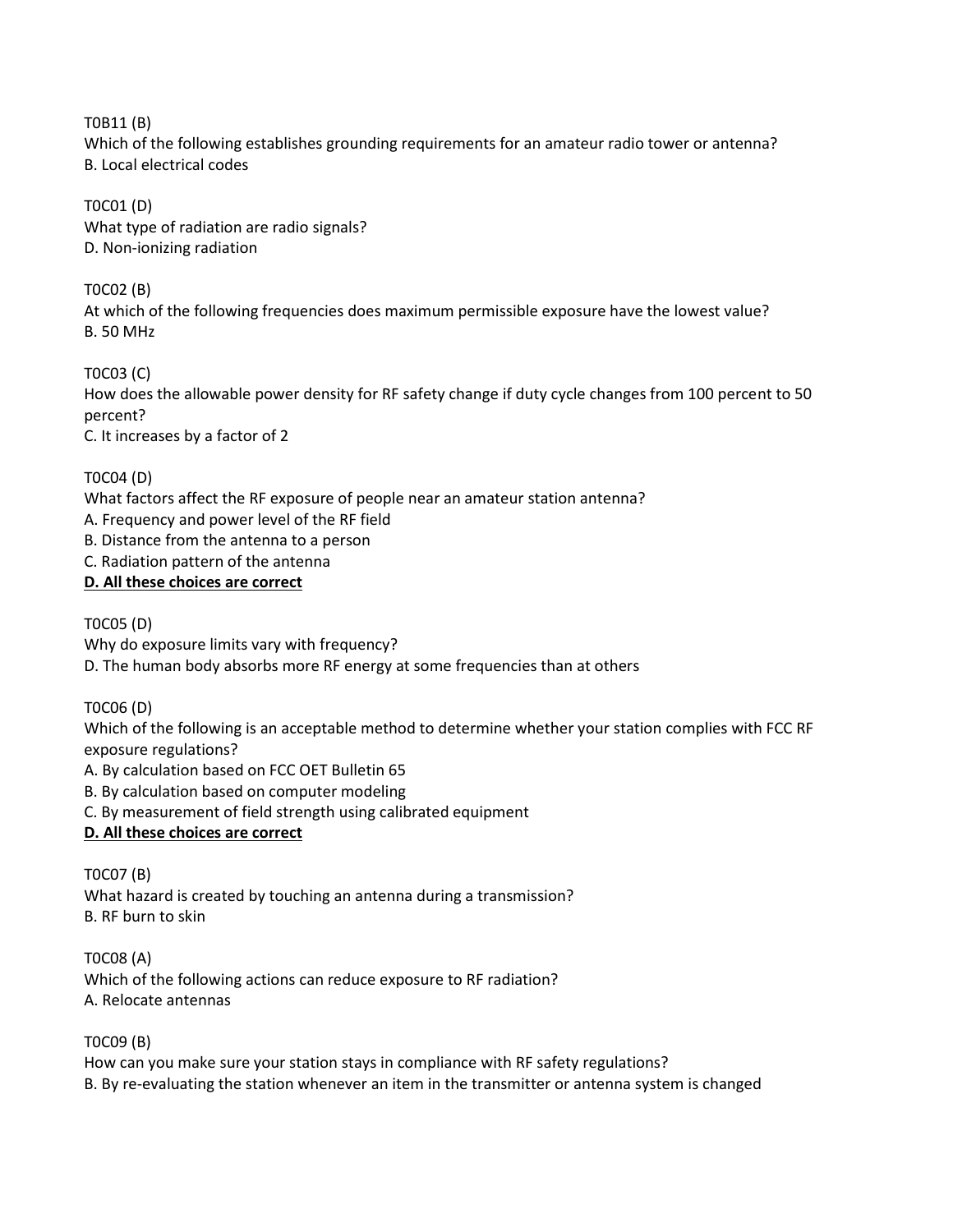T0B11 (B)

Which of the following establishes grounding requirements for an amateur radio tower or antenna? B. Local electrical codes

T0C01 (D) What type of radiation are radio signals? D. Non-ionizing radiation

#### T0C02 (B)

At which of the following frequencies does maximum permissible exposure have the lowest value? B. 50 MHz

T0C03 (C) How does the allowable power density for RF safety change if duty cycle changes from 100 percent to 50 percent? C. It increases by a factor of 2

#### T0C04 (D)

What factors affect the RF exposure of people near an amateur station antenna?

- A. Frequency and power level of the RF field
- B. Distance from the antenna to a person
- C. Radiation pattern of the antenna

## **D. All these choices are correct**

#### T0C05 (D)

Why do exposure limits vary with frequency? D. The human body absorbs more RF energy at some frequencies than at others

T0C06 (D)

Which of the following is an acceptable method to determine whether your station complies with FCC RF exposure regulations?

A. By calculation based on FCC OET Bulletin 65

B. By calculation based on computer modeling

C. By measurement of field strength using calibrated equipment

## **D. All these choices are correct**

T0C07 (B) What hazard is created by touching an antenna during a transmission? B. RF burn to skin

T0C08 (A) Which of the following actions can reduce exposure to RF radiation? A. Relocate antennas

T0C09 (B)

How can you make sure your station stays in compliance with RF safety regulations? B. By re-evaluating the station whenever an item in the transmitter or antenna system is changed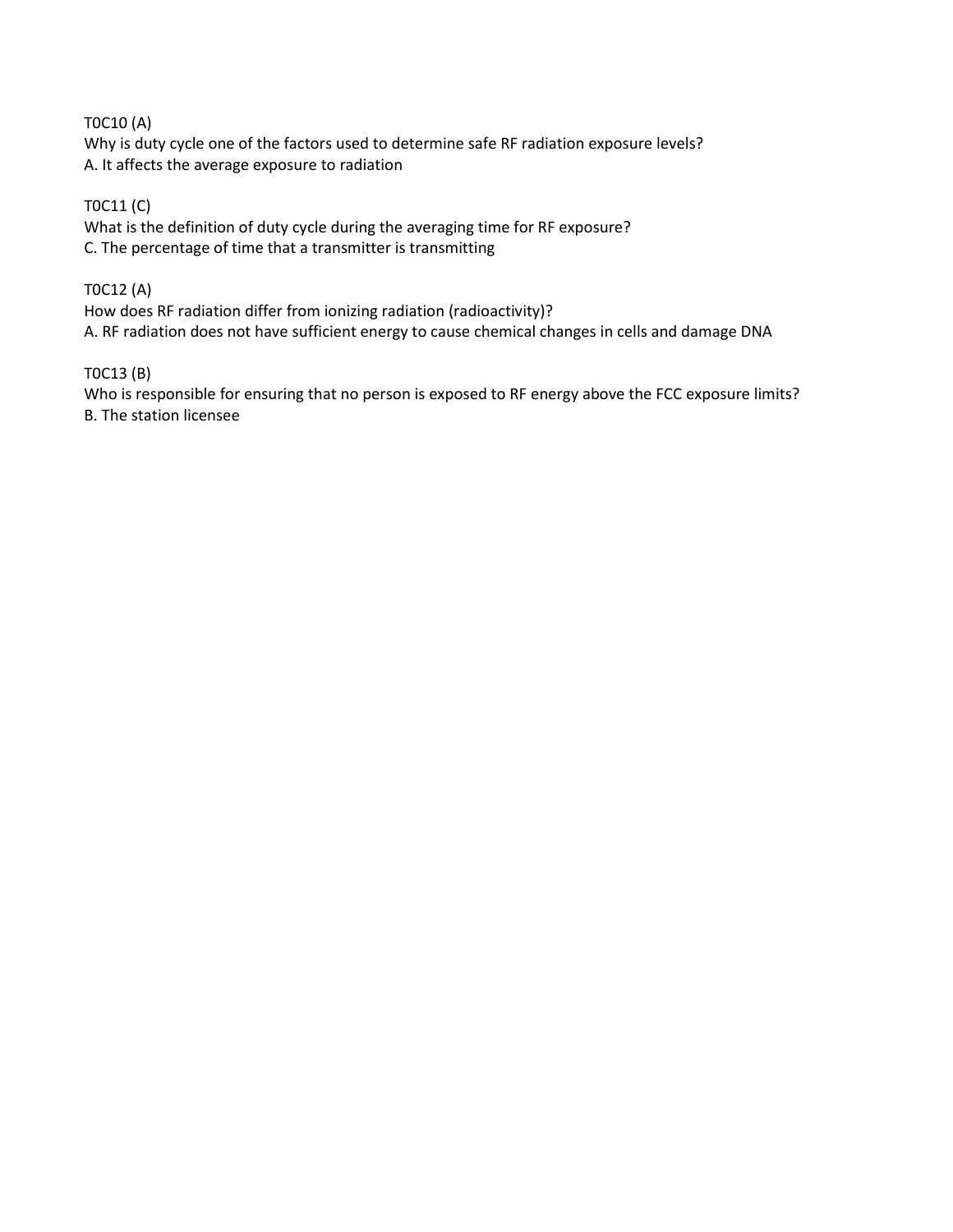T0C10 (A)

Why is duty cycle one of the factors used to determine safe RF radiation exposure levels? A. It affects the average exposure to radiation

T0C11 (C)

What is the definition of duty cycle during the averaging time for RF exposure? C. The percentage of time that a transmitter is transmitting

T0C12 (A)

How does RF radiation differ from ionizing radiation (radioactivity)? A. RF radiation does not have sufficient energy to cause chemical changes in cells and damage DNA

T0C13 (B)

Who is responsible for ensuring that no person is exposed to RF energy above the FCC exposure limits? B. The station licensee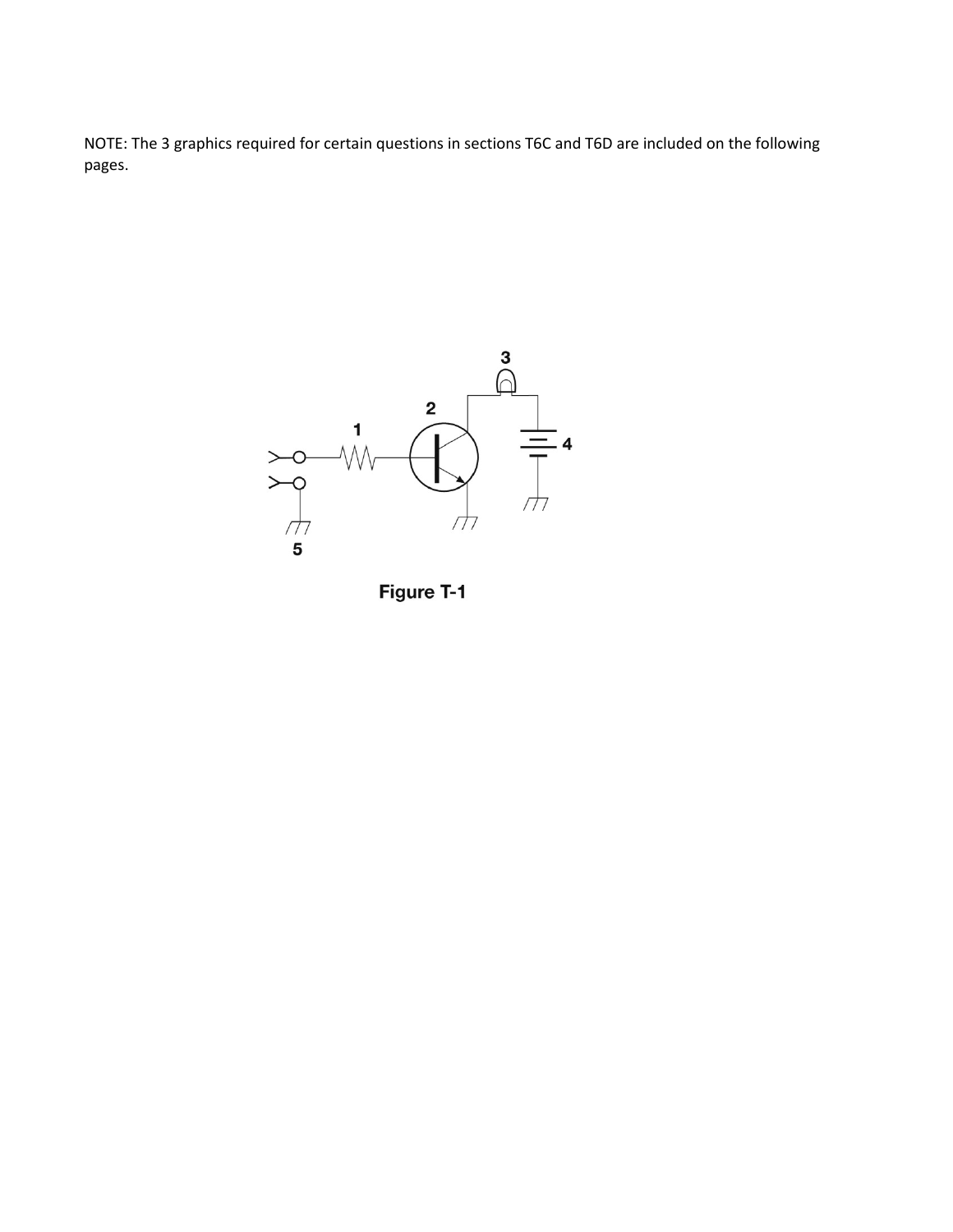NOTE: The 3 graphics required for certain questions in sections T6C and T6D are included on the following pages.



Figure T-1